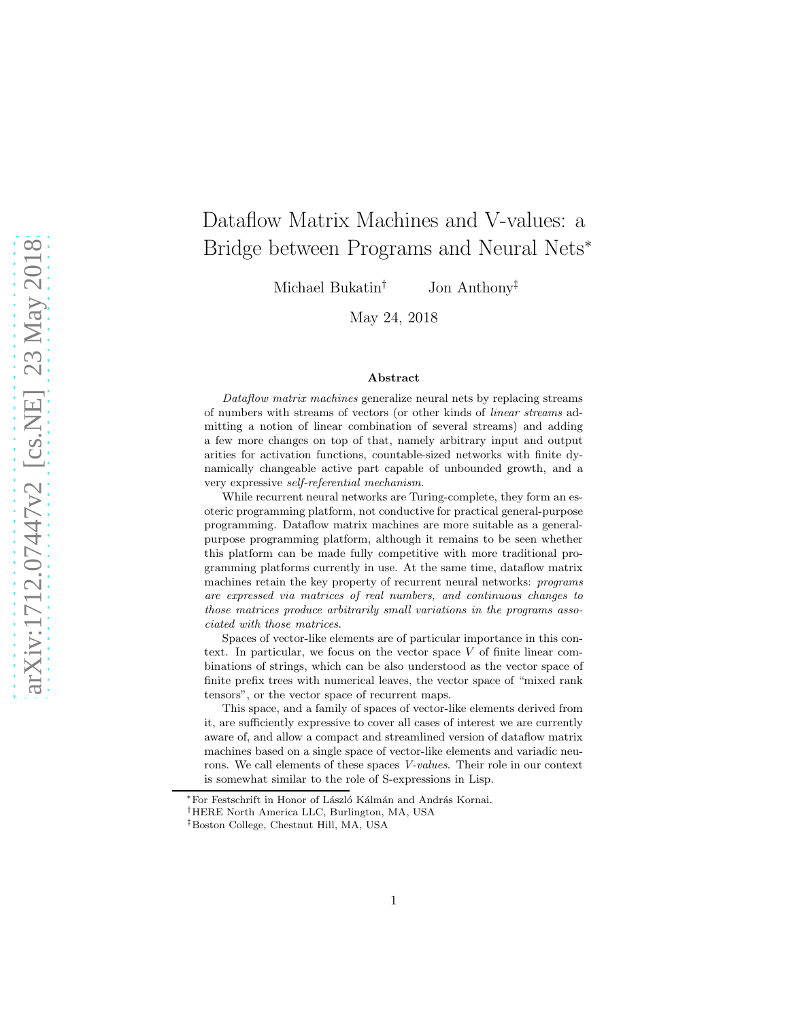# Dataflow Matrix Machines and V-values: a Bridge between Programs and Neural Nets<sup>∗</sup>

Michael Bukatin† Jon Anthony‡

May 24, 2018

#### Abstract

Dataflow matrix machines generalize neural nets by replacing streams of numbers with streams of vectors (or other kinds of linear streams admitting a notion of linear combination of several streams) and adding a few more changes on top of that, namely arbitrary input and output arities for activation functions, countable-sized networks with finite dynamically changeable active part capable of unbounded growth, and a very expressive self-referential mechanism.

While recurrent neural networks are Turing-complete, they form an esoteric programming platform, not conductive for practical general-purpose programming. Dataflow matrix machines are more suitable as a generalpurpose programming platform, although it remains to be seen whether this platform can be made fully competitive with more traditional programming platforms currently in use. At the same time, dataflow matrix machines retain the key property of recurrent neural networks: programs are expressed via matrices of real numbers, and continuous changes to those matrices produce arbitrarily small variations in the programs associated with those matrices.

Spaces of vector-like elements are of particular importance in this context. In particular, we focus on the vector space  $V$  of finite linear combinations of strings, which can be also understood as the vector space of finite prefix trees with numerical leaves, the vector space of "mixed rank tensors", or the vector space of recurrent maps.

This space, and a family of spaces of vector-like elements derived from it, are sufficiently expressive to cover all cases of interest we are currently aware of, and allow a compact and streamlined version of dataflow matrix machines based on a single space of vector-like elements and variadic neurons. We call elements of these spaces V-values. Their role in our context is somewhat similar to the role of S-expressions in Lisp.

<sup>∗</sup>For Festschrift in Honor of L´aszl´o K´alm´an and Andr´as Kornai.

<sup>†</sup>HERE North America LLC, Burlington, MA, USA

<sup>‡</sup>Boston College, Chestnut Hill, MA, USA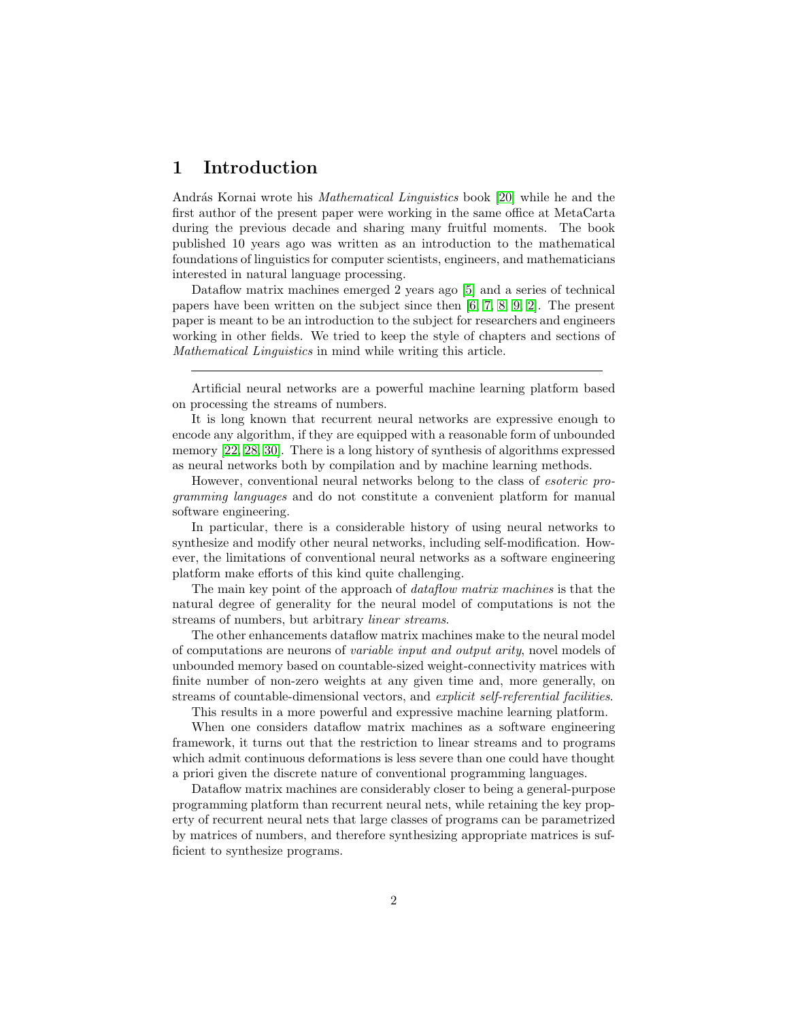## 1 Introduction

András Kornai wrote his *Mathematical Linguistics* book [\[20\]](#page-26-0) while he and the first author of the present paper were working in the same office at MetaCarta during the previous decade and sharing many fruitful moments. The book published 10 years ago was written as an introduction to the mathematical foundations of linguistics for computer scientists, engineers, and mathematicians interested in natural language processing.

Dataflow matrix machines emerged 2 years ago [\[5\]](#page-25-0) and a series of technical papers have been written on the subject since then [\[6,](#page-25-1) [7,](#page-25-2) [8,](#page-25-3) [9,](#page-25-4) [2\]](#page-25-5). The present paper is meant to be an introduction to the subject for researchers and engineers working in other fields. We tried to keep the style of chapters and sections of Mathematical Linguistics in mind while writing this article.

Artificial neural networks are a powerful machine learning platform based on processing the streams of numbers.

It is long known that recurrent neural networks are expressive enough to encode any algorithm, if they are equipped with a reasonable form of unbounded memory [\[22,](#page-26-1) [28,](#page-26-2) [30\]](#page-26-3). There is a long history of synthesis of algorithms expressed as neural networks both by compilation and by machine learning methods.

However, conventional neural networks belong to the class of esoteric programming languages and do not constitute a convenient platform for manual software engineering.

In particular, there is a considerable history of using neural networks to synthesize and modify other neural networks, including self-modification. However, the limitations of conventional neural networks as a software engineering platform make efforts of this kind quite challenging.

The main key point of the approach of *dataflow matrix machines* is that the natural degree of generality for the neural model of computations is not the streams of numbers, but arbitrary linear streams.

The other enhancements dataflow matrix machines make to the neural model of computations are neurons of variable input and output arity, novel models of unbounded memory based on countable-sized weight-connectivity matrices with finite number of non-zero weights at any given time and, more generally, on streams of countable-dimensional vectors, and explicit self-referential facilities.

This results in a more powerful and expressive machine learning platform.

When one considers dataflow matrix machines as a software engineering framework, it turns out that the restriction to linear streams and to programs which admit continuous deformations is less severe than one could have thought a priori given the discrete nature of conventional programming languages.

Dataflow matrix machines are considerably closer to being a general-purpose programming platform than recurrent neural nets, while retaining the key property of recurrent neural nets that large classes of programs can be parametrized by matrices of numbers, and therefore synthesizing appropriate matrices is sufficient to synthesize programs.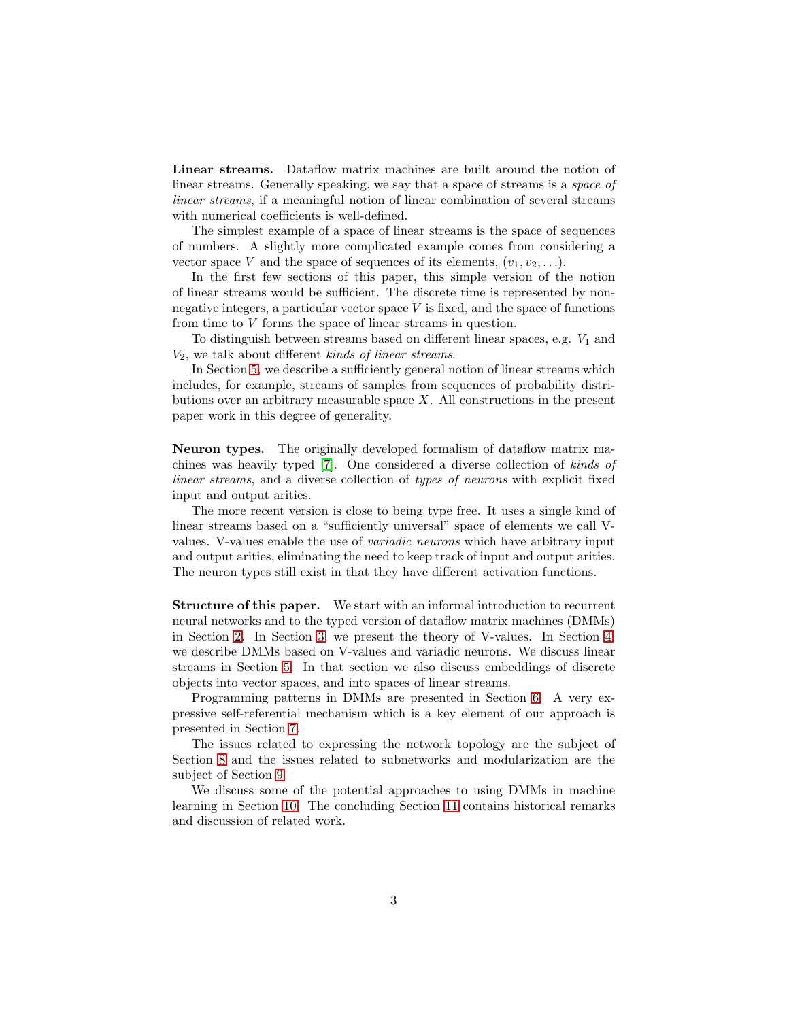Linear streams. Dataflow matrix machines are built around the notion of linear streams. Generally speaking, we say that a space of streams is a *space of* linear streams, if a meaningful notion of linear combination of several streams with numerical coefficients is well-defined.

The simplest example of a space of linear streams is the space of sequences of numbers. A slightly more complicated example comes from considering a vector space V and the space of sequences of its elements,  $(v_1, v_2, \ldots)$ .

In the first few sections of this paper, this simple version of the notion of linear streams would be sufficient. The discrete time is represented by nonnegative integers, a particular vector space  $V$  is fixed, and the space of functions from time to V forms the space of linear streams in question.

To distinguish between streams based on different linear spaces, e.g.  $V_1$  and  $V_2$ , we talk about different kinds of linear streams.

In Section [5,](#page-13-0) we describe a sufficiently general notion of linear streams which includes, for example, streams of samples from sequences of probability distributions over an arbitrary measurable space  $X$ . All constructions in the present paper work in this degree of generality.

Neuron types. The originally developed formalism of dataflow matrix machines was heavily typed [\[7\]](#page-25-2). One considered a diverse collection of kinds of linear streams, and a diverse collection of types of neurons with explicit fixed input and output arities.

The more recent version is close to being type free. It uses a single kind of linear streams based on a "sufficiently universal" space of elements we call Vvalues. V-values enable the use of variadic neurons which have arbitrary input and output arities, eliminating the need to keep track of input and output arities. The neuron types still exist in that they have different activation functions.

Structure of this paper. We start with an informal introduction to recurrent neural networks and to the typed version of dataflow matrix machines (DMMs) in Section [2.](#page-3-0) In Section [3,](#page-5-0) we present the theory of V-values. In Section [4,](#page-9-0) we describe DMMs based on V-values and variadic neurons. We discuss linear streams in Section [5.](#page-13-0) In that section we also discuss embeddings of discrete objects into vector spaces, and into spaces of linear streams.

Programming patterns in DMMs are presented in Section [6.](#page-15-0) A very expressive self-referential mechanism which is a key element of our approach is presented in Section [7.](#page-19-0)

The issues related to expressing the network topology are the subject of Section [8](#page-20-0) and the issues related to subnetworks and modularization are the subject of Section [9.](#page-21-0)

We discuss some of the potential approaches to using DMMs in machine learning in Section [10.](#page-21-1) The concluding Section [11](#page-22-0) contains historical remarks and discussion of related work.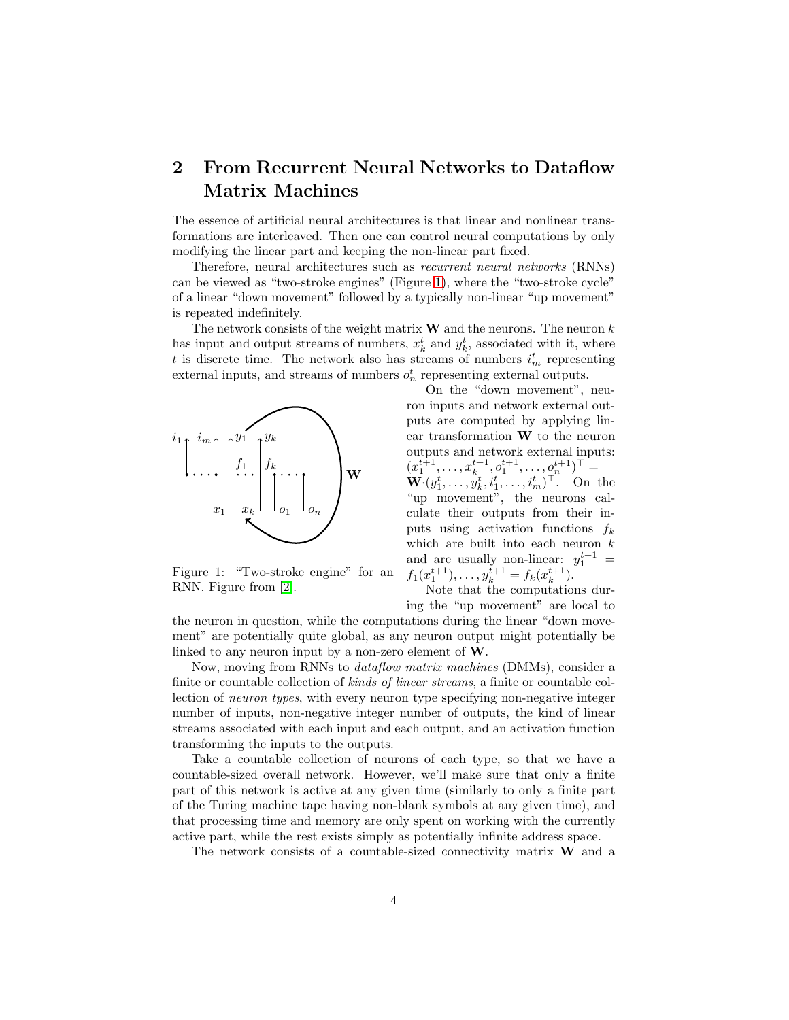## <span id="page-3-0"></span>2 From Recurrent Neural Networks to Dataflow Matrix Machines

The essence of artificial neural architectures is that linear and nonlinear transformations are interleaved. Then one can control neural computations by only modifying the linear part and keeping the non-linear part fixed.

Therefore, neural architectures such as recurrent neural networks (RNNs) can be viewed as "two-stroke engines" (Figure [1\)](#page-3-1), where the "two-stroke cycle" of a linear "down movement" followed by a typically non-linear "up movement" is repeated indefinitely.

The network consists of the weight matrix  $W$  and the neurons. The neuron  $k$ has input and output streams of numbers,  $x_k^t$  and  $y_k^t$ , associated with it, where t is discrete time. The network also has streams of numbers  $i_m^t$  representing external inputs, and streams of numbers  $o_n^t$  representing external outputs.



<span id="page-3-1"></span>Figure 1: "Two-stroke engine" for an RNN. Figure from [\[2\]](#page-25-5).

On the "down movement", neuron inputs and network external outputs are computed by applying linear transformation W to the neuron outputs and network external inputs:  $(x_1^{t+1}, \ldots, x_k^{t+1}, o_1^{t+1}, \ldots, o_n^{t+1})^{\top} =$  $\mathbf{W} \cdot (y_1^t, \ldots, y_k^t, i_1^t, \ldots, i_m^t)^\top$ . On the "up movement", the neurons calculate their outputs from their inputs using activation functions  $f_k$ which are built into each neuron  $k$ and are usually non-linear:  $y_1^{t+1}$  =  $f_1(x_1^{t+1}), \ldots, y_k^{t+1} = f_k(x_k^{t+1}).$ 

Note that the computations during the "up movement" are local to

the neuron in question, while the computations during the linear "down movement" are potentially quite global, as any neuron output might potentially be linked to any neuron input by a non-zero element of W.

Now, moving from RNNs to dataflow matrix machines (DMMs), consider a finite or countable collection of kinds of linear streams, a finite or countable collection of neuron types, with every neuron type specifying non-negative integer number of inputs, non-negative integer number of outputs, the kind of linear streams associated with each input and each output, and an activation function transforming the inputs to the outputs.

Take a countable collection of neurons of each type, so that we have a countable-sized overall network. However, we'll make sure that only a finite part of this network is active at any given time (similarly to only a finite part of the Turing machine tape having non-blank symbols at any given time), and that processing time and memory are only spent on working with the currently active part, while the rest exists simply as potentially infinite address space.

The network consists of a countable-sized connectivity matrix  $W$  and a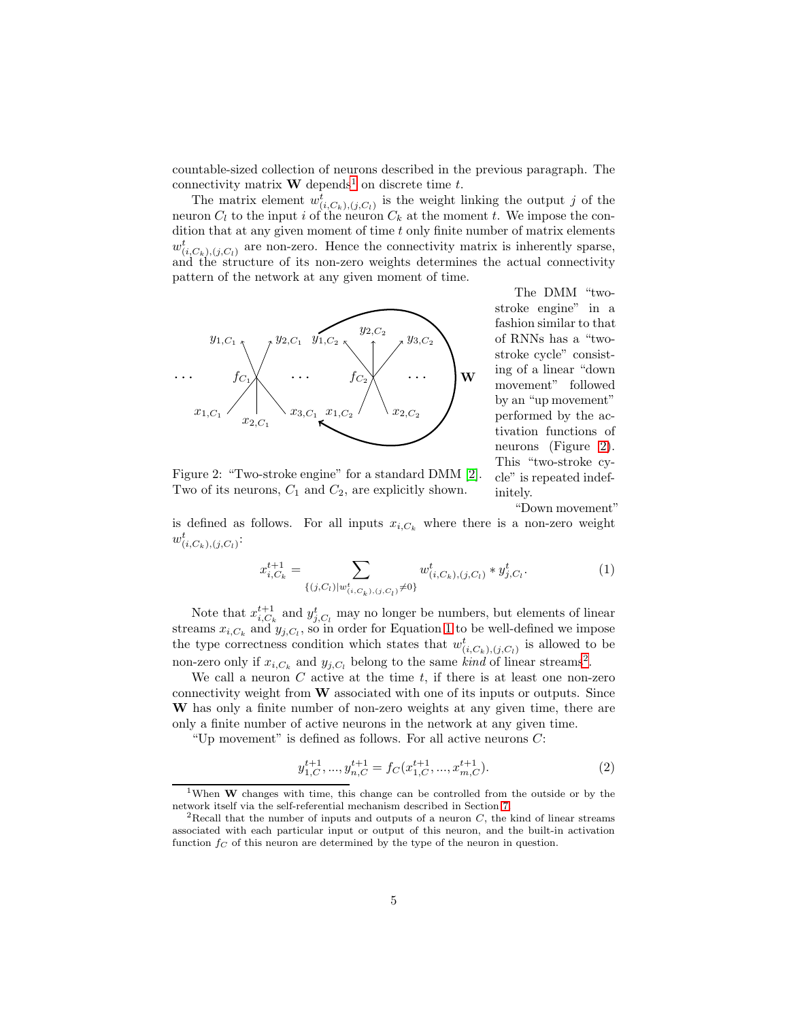countable-sized collection of neurons described in the previous paragraph. The connectivity matrix  $\mathbf{W}$  depends<sup>[1](#page-4-0)</sup> on discrete time t.

The matrix element  $w^t_{(i,C_k),(j,C_l)}$  is the weight linking the output j of the neuron  $C_l$  to the input i of the neuron  $C_k$  at the moment t. We impose the condition that at any given moment of time  $t$  only finite number of matrix elements  $w_{(i,C_k),(j,C_l)}^t$  are non-zero. Hence the connectivity matrix is inherently sparse, and the structure of its non-zero weights determines the actual connectivity pattern of the network at any given moment of time.



The DMM "twostroke engine" in a fashion similar to that of RNNs has a "twostroke cycle" consisting of a linear "down movement" followed by an "up movement" performed by the activation functions of neurons (Figure [2\)](#page-4-1). This "two-stroke cycle" is repeated indefinitely.

<span id="page-4-1"></span>Figure 2: "Two-stroke engine" for a standard DMM [\[2\]](#page-25-5). Two of its neurons,  $C_1$  and  $C_2$ , are explicitly shown.

"Down movement"

is defined as follows. For all inputs  $x_{i,C_k}$  where there is a non-zero weight  $w_{(i,C_k),(j,C_l)}^t$ :

<span id="page-4-2"></span>
$$
x_{i,C_k}^{t+1} = \sum_{\{(j,C_l)|w_{(i,C_k),(j,C_l)}^t \neq 0\}} w_{(i,C_k),(j,C_l)}^t * y_{j,C_l}^t.
$$
 (1)

Note that  $x_{i,C_k}^{t+1}$  and  $y_{j,C_l}^t$  may no longer be numbers, but elements of linear streams  $x_{i,C_k}$  and  $y_{j,C_l}$ , so in order for Equation [1](#page-4-2) to be well-defined we impose the type correctness condition which states that  $w^t_{(i,C_k),(j,C_l)}$  is allowed to be non-zero only if  $x_{i,C_k}$  and  $y_{j,C_l}$  belong to the same kind of linear streams<sup>[2](#page-4-3)</sup>.

We call a neuron  $C$  active at the time  $t$ , if there is at least one non-zero connectivity weight from W associated with one of its inputs or outputs. Since W has only a finite number of non-zero weights at any given time, there are only a finite number of active neurons in the network at any given time.

"Up movement" is defined as follows. For all active neurons  $C$ :

$$
y_{1,C}^{t+1}, \dots, y_{n,C}^{t+1} = f_C(x_{1,C}^{t+1}, \dots, x_{m,C}^{t+1}).
$$
\n(2)

<span id="page-4-0"></span><sup>&</sup>lt;sup>1</sup>When **W** changes with time, this change can be controlled from the outside or by the network itself via the self-referential mechanism described in Section [7.](#page-19-0)

<span id="page-4-3"></span><sup>&</sup>lt;sup>2</sup>Recall that the number of inputs and outputs of a neuron  $C$ , the kind of linear streams associated with each particular input or output of this neuron, and the built-in activation function  $f_C$  of this neuron are determined by the type of the neuron in question.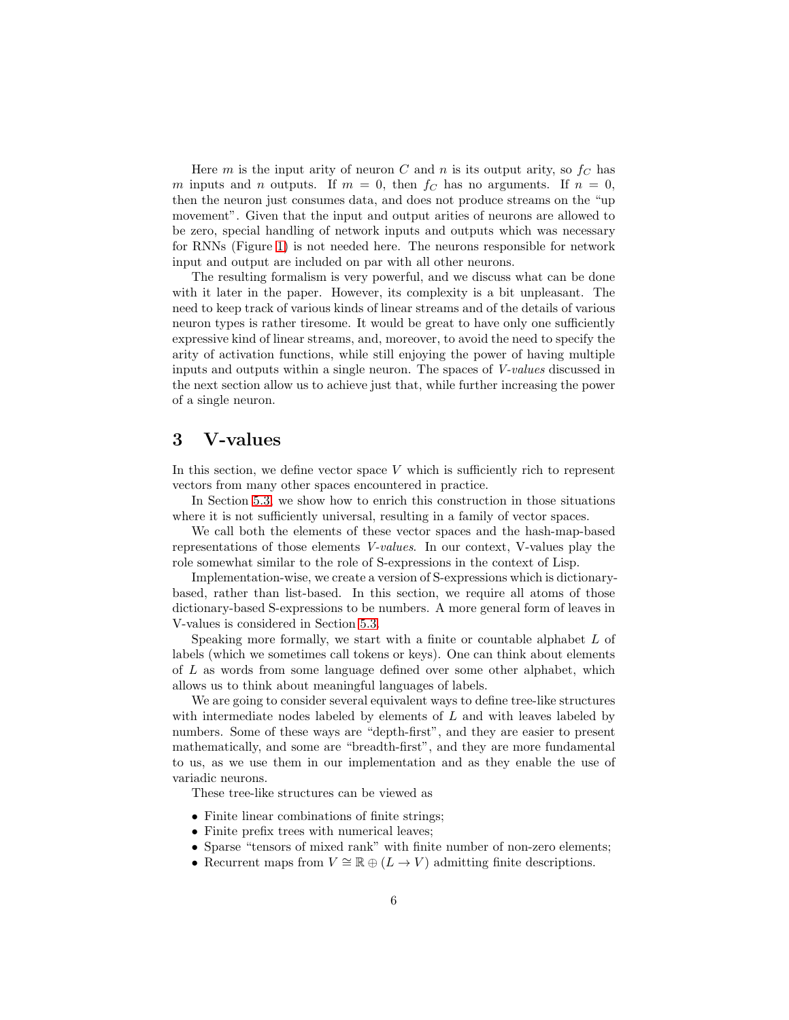Here m is the input arity of neuron C and n is its output arity, so  $f_C$  has m inputs and n outputs. If  $m = 0$ , then  $f_C$  has no arguments. If  $n = 0$ , then the neuron just consumes data, and does not produce streams on the "up movement". Given that the input and output arities of neurons are allowed to be zero, special handling of network inputs and outputs which was necessary for RNNs (Figure [1\)](#page-3-1) is not needed here. The neurons responsible for network input and output are included on par with all other neurons.

The resulting formalism is very powerful, and we discuss what can be done with it later in the paper. However, its complexity is a bit unpleasant. The need to keep track of various kinds of linear streams and of the details of various neuron types is rather tiresome. It would be great to have only one sufficiently expressive kind of linear streams, and, moreover, to avoid the need to specify the arity of activation functions, while still enjoying the power of having multiple inputs and outputs within a single neuron. The spaces of V-values discussed in the next section allow us to achieve just that, while further increasing the power of a single neuron.

## <span id="page-5-0"></span>3 V-values

In this section, we define vector space  $V$  which is sufficiently rich to represent vectors from many other spaces encountered in practice.

In Section [5.3,](#page-15-1) we show how to enrich this construction in those situations where it is not sufficiently universal, resulting in a family of vector spaces.

We call both the elements of these vector spaces and the hash-map-based representations of those elements V-values. In our context, V-values play the role somewhat similar to the role of S-expressions in the context of Lisp.

Implementation-wise, we create a version of S-expressions which is dictionarybased, rather than list-based. In this section, we require all atoms of those dictionary-based S-expressions to be numbers. A more general form of leaves in V-values is considered in Section [5.3.](#page-15-1)

Speaking more formally, we start with a finite or countable alphabet L of labels (which we sometimes call tokens or keys). One can think about elements of L as words from some language defined over some other alphabet, which allows us to think about meaningful languages of labels.

We are going to consider several equivalent ways to define tree-like structures with intermediate nodes labeled by elements of  $L$  and with leaves labeled by numbers. Some of these ways are "depth-first", and they are easier to present mathematically, and some are "breadth-first", and they are more fundamental to us, as we use them in our implementation and as they enable the use of variadic neurons.

These tree-like structures can be viewed as

- Finite linear combinations of finite strings;
- Finite prefix trees with numerical leaves;
- Sparse "tensors of mixed rank" with finite number of non-zero elements;
- Recurrent maps from  $V \cong \mathbb{R} \oplus (L \to V)$  admitting finite descriptions.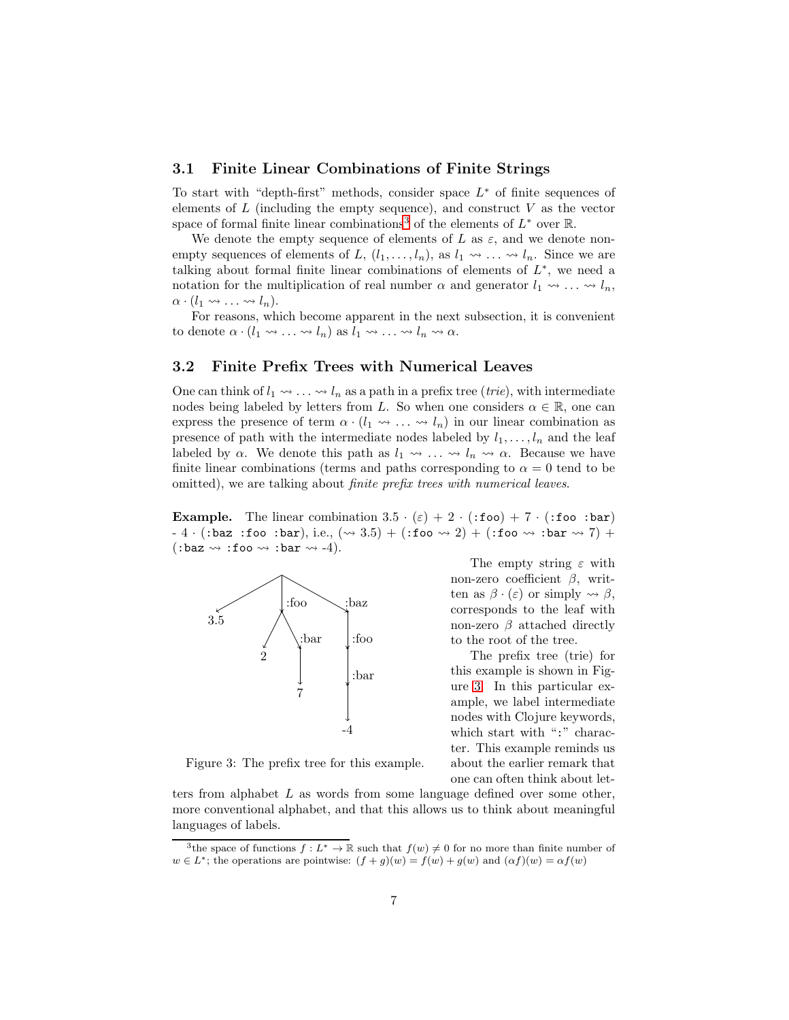#### 3.1 Finite Linear Combinations of Finite Strings

To start with "depth-first" methods, consider space  $L^*$  of finite sequences of elements of  $L$  (including the empty sequence), and construct  $V$  as the vector space of formal finite linear combinations<sup>[3](#page-6-0)</sup> of the elements of  $L^*$  over  $\mathbb{R}$ .

We denote the empty sequence of elements of L as  $\varepsilon$ , and we denote nonempty sequences of elements of L,  $(l_1, \ldots, l_n)$ , as  $l_1 \leadsto \ldots \leadsto l_n$ . Since we are talking about formal finite linear combinations of elements of  $L^*$ , we need a notation for the multiplication of real number  $\alpha$  and generator  $l_1 \leadsto \ldots \leadsto l_n$ ,  $\alpha \cdot (l_1 \rightsquigarrow \ldots \rightsquigarrow l_n).$ 

For reasons, which become apparent in the next subsection, it is convenient to denote  $\alpha \cdot (l_1 \leadsto \ldots \leadsto l_n)$  as  $l_1 \leadsto \ldots \leadsto l_n \leadsto \alpha$ .

#### <span id="page-6-2"></span>3.2 Finite Prefix Trees with Numerical Leaves

One can think of  $l_1 \leadsto \ldots \leadsto l_n$  as a path in a prefix tree (*trie*), with intermediate nodes being labeled by letters from L. So when one considers  $\alpha \in \mathbb{R}$ , one can express the presence of term  $\alpha \cdot (l_1 \leadsto \ldots \leadsto l_n)$  in our linear combination as presence of path with the intermediate nodes labeled by  $l_1, \ldots, l_n$  and the leaf labeled by  $\alpha$ . We denote this path as  $l_1 \rightsquigarrow \ldots \rightsquigarrow l_n \rightsquigarrow \alpha$ . Because we have finite linear combinations (terms and paths corresponding to  $\alpha = 0$  tend to be omitted), we are talking about finite prefix trees with numerical leaves.

**Example.** The linear combination  $3.5 \cdot (\varepsilon) + 2 \cdot (\text{:foo}) + 7 \cdot (\text{:foo})$  $-4 \cdot ($  : baz : foo : bar), i.e.,  $(\leadsto 3.5) + ($  : foo  $\leadsto 2) + ($  : foo  $\leadsto \circ$  : bar  $\leadsto 7) +$  $(:\text{baz}\leadsto:\text{foo}\leadsto:\text{bar}\leadsto-4).$ 



<span id="page-6-1"></span>Figure 3: The prefix tree for this example.

The empty string  $\varepsilon$  with non-zero coefficient  $β$ , written as  $\beta \cdot (\varepsilon)$  or simply  $\rightsquigarrow \beta$ , corresponds to the leaf with non-zero  $\beta$  attached directly to the root of the tree.

The prefix tree (trie) for this example is shown in Figure [3.](#page-6-1) In this particular example, we label intermediate nodes with Clojure keywords, which start with ":" character. This example reminds us about the earlier remark that one can often think about let-

ters from alphabet L as words from some language defined over some other, more conventional alphabet, and that this allows us to think about meaningful languages of labels.

<span id="page-6-0"></span><sup>&</sup>lt;sup>3</sup>the space of functions  $f: L^* \to \mathbb{R}$  such that  $f(w) \neq 0$  for no more than finite number of  $w \in L^*$ ; the operations are pointwise:  $(f+g)(w) = f(w) + g(w)$  and  $(\alpha f)(w) = \alpha f(w)$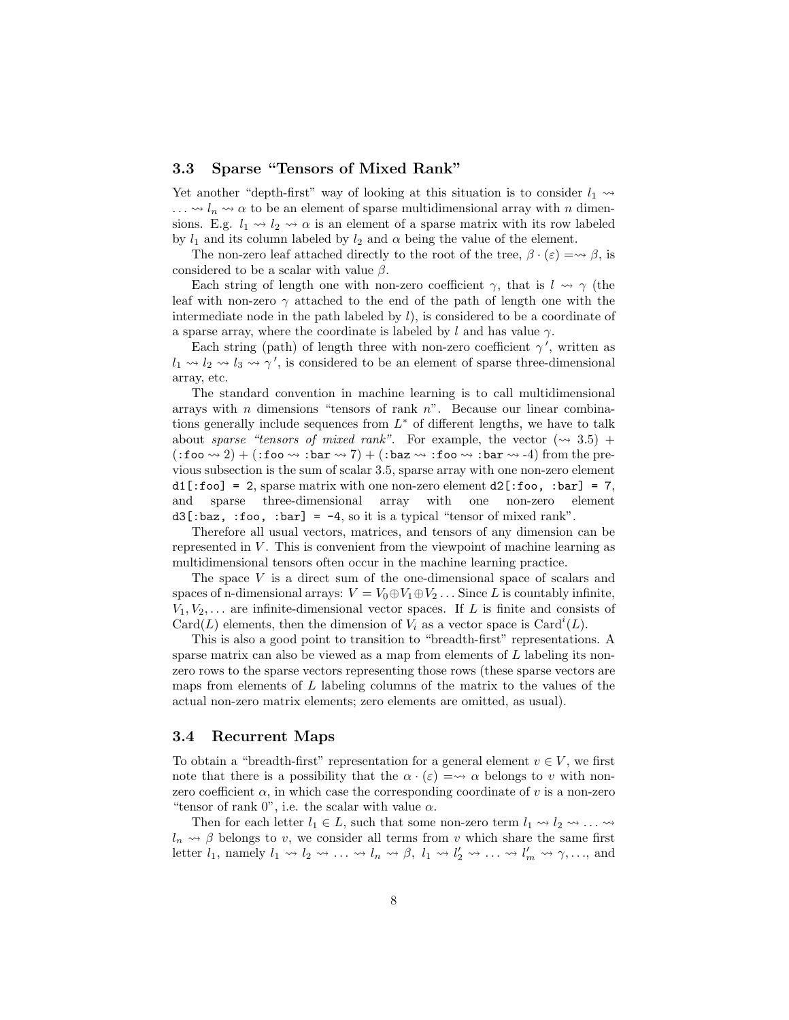## 3.3 Sparse "Tensors of Mixed Rank"

Yet another "depth-first" way of looking at this situation is to consider  $l_1 \rightarrow$  $\ldots \rightsquigarrow l_n \rightsquigarrow \alpha$  to be an element of sparse multidimensional array with n dimensions. E.g.  $l_1 \rightarrow l_2 \rightarrow \alpha$  is an element of a sparse matrix with its row labeled by  $l_1$  and its column labeled by  $l_2$  and  $\alpha$  being the value of the element.

The non-zero leaf attached directly to the root of the tree,  $\beta \cdot (\varepsilon) = \rightarrow \beta$ , is considered to be a scalar with value  $\beta$ .

Each string of length one with non-zero coefficient  $\gamma$ , that is  $l \rightarrow \gamma$  (the leaf with non-zero  $\gamma$  attached to the end of the path of length one with the intermediate node in the path labeled by  $l$ ), is considered to be a coordinate of a sparse array, where the coordinate is labeled by l and has value  $\gamma$ .

Each string (path) of length three with non-zero coefficient  $\gamma'$ , written as  $l_1 \rightsquigarrow l_2 \rightsquigarrow l_3 \rightsquigarrow \gamma'$ , is considered to be an element of sparse three-dimensional array, etc.

The standard convention in machine learning is to call multidimensional arrays with *n* dimensions "tensors of rank  $n$ ". Because our linear combinations generally include sequences from  $L^*$  of different lengths, we have to talk about sparse "tensors of mixed rank". For example, the vector  $(\sim 3.5)$  +  $(\texttt{ifoo} \leadsto 2) + (\texttt{ifoo} \leadsto \texttt{:bar} \leadsto 7) + (\texttt{:baz} \leadsto \texttt{:foo} \leadsto \texttt{:bar} \leadsto -4)$  from the previous subsection is the sum of scalar 3.5, sparse array with one non-zero element  $d1$ [:foo] = 2, sparse matrix with one non-zero element  $d2$ [:foo, :bar] = 7, and sparse three-dimensional array with one non-zero element  $d3$ [:baz, :foo, :bar] = -4, so it is a typical "tensor of mixed rank".

Therefore all usual vectors, matrices, and tensors of any dimension can be represented in  $V$ . This is convenient from the viewpoint of machine learning as multidimensional tensors often occur in the machine learning practice.

The space  $V$  is a direct sum of the one-dimensional space of scalars and spaces of n-dimensional arrays:  $V = V_0 \oplus V_1 \oplus V_2 \dots$  Since L is countably infinite,  $V_1, V_2, \ldots$  are infinite-dimensional vector spaces. If L is finite and consists of Card(L) elements, then the dimension of  $V_i$  as a vector space is Card<sup>*i*</sup>(L).

This is also a good point to transition to "breadth-first" representations. A sparse matrix can also be viewed as a map from elements of L labeling its nonzero rows to the sparse vectors representing those rows (these sparse vectors are maps from elements of L labeling columns of the matrix to the values of the actual non-zero matrix elements; zero elements are omitted, as usual).

#### 3.4 Recurrent Maps

To obtain a "breadth-first" representation for a general element  $v \in V$ , we first note that there is a possibility that the  $\alpha \cdot (\varepsilon) = \leadsto \alpha$  belongs to v with nonzero coefficient  $\alpha$ , in which case the corresponding coordinate of v is a non-zero "tensor of rank  $0$ ", i.e. the scalar with value  $\alpha$ .

Then for each letter  $l_1 \in L$ , such that some non-zero term  $l_1 \leadsto l_2 \leadsto \dots \leadsto$  $l_n \rightarrow \beta$  belongs to v, we consider all terms from v which share the same first letter  $l_1$ , namely  $l_1 \rightsquigarrow l_2 \rightsquigarrow \ldots \rightsquigarrow l_n \rightsquigarrow \beta$ ,  $l_1 \rightsquigarrow l'_2 \rightsquigarrow \ldots \rightsquigarrow l'_m \rightsquigarrow \gamma, \ldots$ , and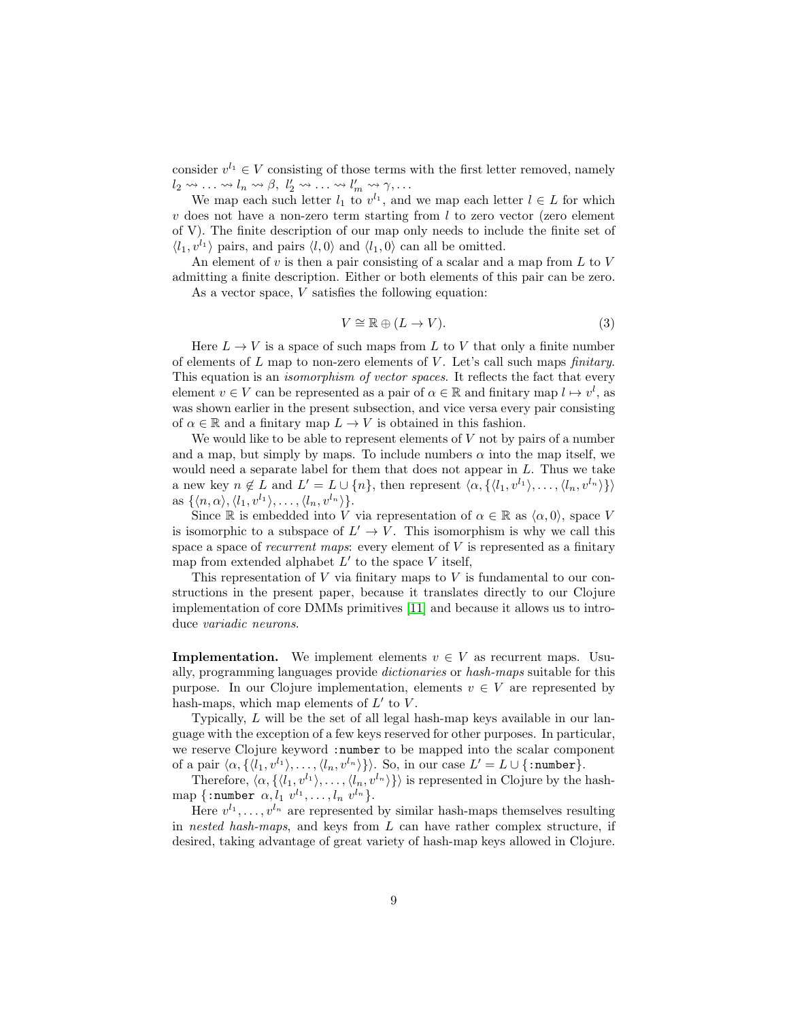consider  $v^{l_1} \in V$  consisting of those terms with the first letter removed, namely  $l_2 \rightsquigarrow \ldots \rightsquigarrow l_n \rightsquigarrow \beta, l'_2 \rightsquigarrow \ldots \rightsquigarrow l'_m \rightsquigarrow \gamma, \ldots$ 

We map each such letter  $l_1$  to  $v^{l_1}$ , and we map each letter  $l \in L$  for which  $v$  does not have a non-zero term starting from  $l$  to zero vector (zero element of V). The finite description of our map only needs to include the finite set of  $\langle l_1, v^{l_1} \rangle$  pairs, and pairs  $\langle l, 0 \rangle$  and  $\langle l_1, 0 \rangle$  can all be omitted.

An element of  $v$  is then a pair consisting of a scalar and a map from  $L$  to  $V$ admitting a finite description. Either or both elements of this pair can be zero. As a vector space, V satisfies the following equation:

$$
V \cong \mathbb{R} \oplus (L \to V). \tag{3}
$$

Here  $L \to V$  is a space of such maps from L to V that only a finite number of elements of  $L$  map to non-zero elements of  $V$ . Let's call such maps *finitary*. This equation is an *isomorphism of vector spaces*. It reflects the fact that every element  $v \in V$  can be represented as a pair of  $\alpha \in \mathbb{R}$  and finitary map  $l \mapsto v^l$ , as was shown earlier in the present subsection, and vice versa every pair consisting of  $\alpha \in \mathbb{R}$  and a finitary map  $L \to V$  is obtained in this fashion.

We would like to be able to represent elements of  $V$  not by pairs of a number and a map, but simply by maps. To include numbers  $\alpha$  into the map itself, we would need a separate label for them that does not appear in  $L$ . Thus we take a new key  $n \notin L$  and  $L' = L \cup \{n\}$ , then represent  $\langle \alpha, \{\langle l_1, v^{l_1} \rangle, \ldots, \langle l_n, v^{l_n} \rangle\} \rangle$ as  $\{\langle n,\alpha\rangle, \langle l_1, v^{l_1}\rangle, \ldots, \langle l_n, v^{l_n}\rangle\}.$ 

Since R is embedded into V via representation of  $\alpha \in \mathbb{R}$  as  $\langle \alpha, 0 \rangle$ , space V is isomorphic to a subspace of  $L' \to V$ . This isomorphism is why we call this space a space of *recurrent maps*: every element of  $V$  is represented as a finitary map from extended alphabet  $L'$  to the space  $V$  itself,

This representation of  $V$  via finitary maps to  $V$  is fundamental to our constructions in the present paper, because it translates directly to our Clojure implementation of core DMMs primitives [\[11\]](#page-25-6) and because it allows us to introduce variadic neurons.

**Implementation.** We implement elements  $v \in V$  as recurrent maps. Usually, programming languages provide dictionaries or hash-maps suitable for this purpose. In our Clojure implementation, elements  $v \in V$  are represented by hash-maps, which map elements of  $L'$  to  $V$ .

Typically, L will be the set of all legal hash-map keys available in our language with the exception of a few keys reserved for other purposes. In particular, we reserve Clojure keyword :number to be mapped into the scalar component of a pair  $\langle \alpha, \{ \langle l_1, v^{l_1} \rangle, \ldots, \langle l_n, v^{l_n} \rangle \} \rangle$ . So, in our case  $L' = L \cup \{\texttt{:number}\}.$ 

Therefore,  $\langle \alpha, \{\langle l_1, v^{l_1}\rangle, \ldots, \langle l_n, v^{l_n}\rangle\}\rangle$  is represented in Clojure by the hashmap {:number  $\alpha, l_1$   $v^{l_1}, \ldots, l_n$   $v^{l_n}$ }.

Here  $v^{l_1}, \ldots, v^{l_n}$  are represented by similar hash-maps themselves resulting in nested hash-maps, and keys from  $L$  can have rather complex structure, if desired, taking advantage of great variety of hash-map keys allowed in Clojure.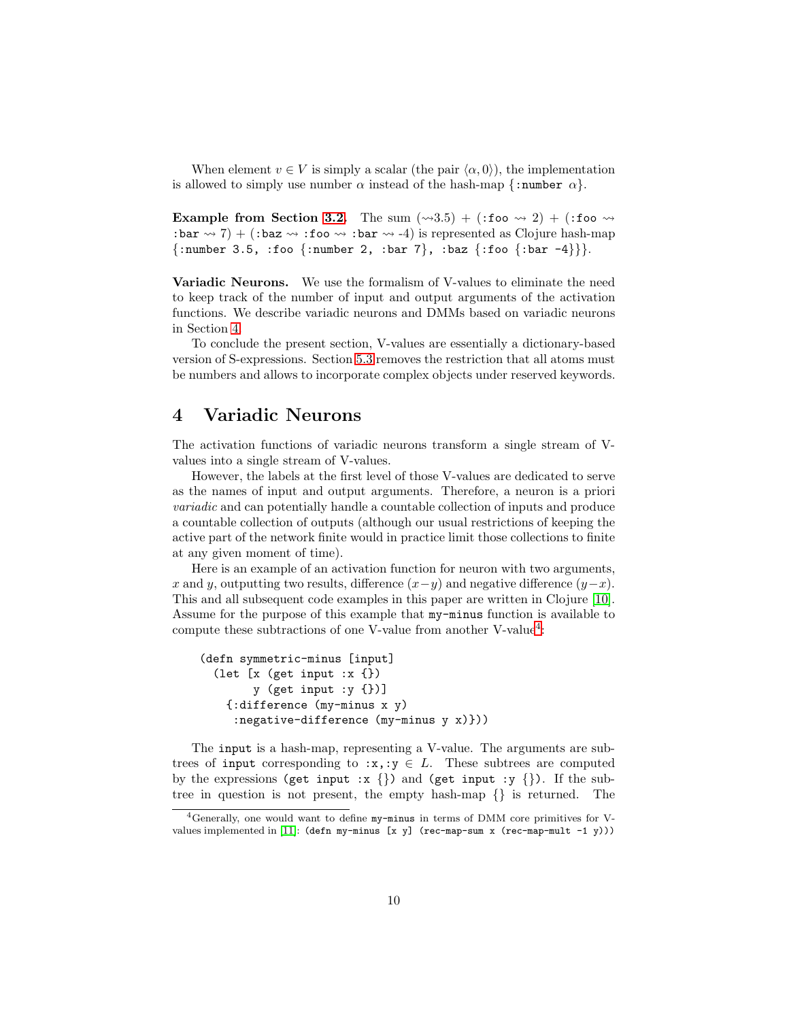When element  $v \in V$  is simply a scalar (the pair  $\langle \alpha, 0 \rangle$ ), the implementation is allowed to simply use number  $\alpha$  instead of the hash-map  $\{\text{number } \alpha\}.$ 

Example from Section [3.2.](#page-6-2) The sum  $(\sim 3.5) + (\text{:foo} \rightsquigarrow 2) + (\text{:foo} \rightsquigarrow$ : bar  $\rightsquigarrow$  7) + (: baz  $\rightsquigarrow$  : foo  $\rightsquigarrow$  : bar  $\rightsquigarrow$  -4) is represented as Clojure hash-map  ${\text{::number 3.5, :foo {:number 2, :bar 7}, :baz {:foo {:bar -4}}}$ 

Variadic Neurons. We use the formalism of V-values to eliminate the need to keep track of the number of input and output arguments of the activation functions. We describe variadic neurons and DMMs based on variadic neurons in Section [4.](#page-9-0)

To conclude the present section, V-values are essentially a dictionary-based version of S-expressions. Section [5.3](#page-15-1) removes the restriction that all atoms must be numbers and allows to incorporate complex objects under reserved keywords.

## <span id="page-9-0"></span>4 Variadic Neurons

The activation functions of variadic neurons transform a single stream of Vvalues into a single stream of V-values.

However, the labels at the first level of those V-values are dedicated to serve as the names of input and output arguments. Therefore, a neuron is a priori variadic and can potentially handle a countable collection of inputs and produce a countable collection of outputs (although our usual restrictions of keeping the active part of the network finite would in practice limit those collections to finite at any given moment of time).

Here is an example of an activation function for neuron with two arguments, x and y, outputting two results, difference  $(x-y)$  and negative difference  $(y-x)$ . This and all subsequent code examples in this paper are written in Clojure [\[10\]](#page-25-7). Assume for the purpose of this example that my-minus function is available to compute these subtractions of one V-value from another V-value<sup>[4](#page-9-1)</sup>:

```
(defn symmetric-minus [input]
(let [x (get input :x {})
       y (get input :y {})]
   {:difference (my-minus x y)
    :negative-difference (my-minus y x)}))
```
The input is a hash-map, representing a V-value. The arguments are subtrees of input corresponding to  $:x, y \in L$ . These subtrees are computed by the expressions (get input :x  $\{\}$ ) and (get input :y  $\{\}$ ). If the subtree in question is not present, the empty hash-map {} is returned. The

<span id="page-9-1"></span><sup>4</sup>Generally, one would want to define my-minus in terms of DMM core primitives for V-values implemented in [\[11\]](#page-25-6): (defn my-minus [x y] (rec-map-sum x (rec-map-mult -1 y)))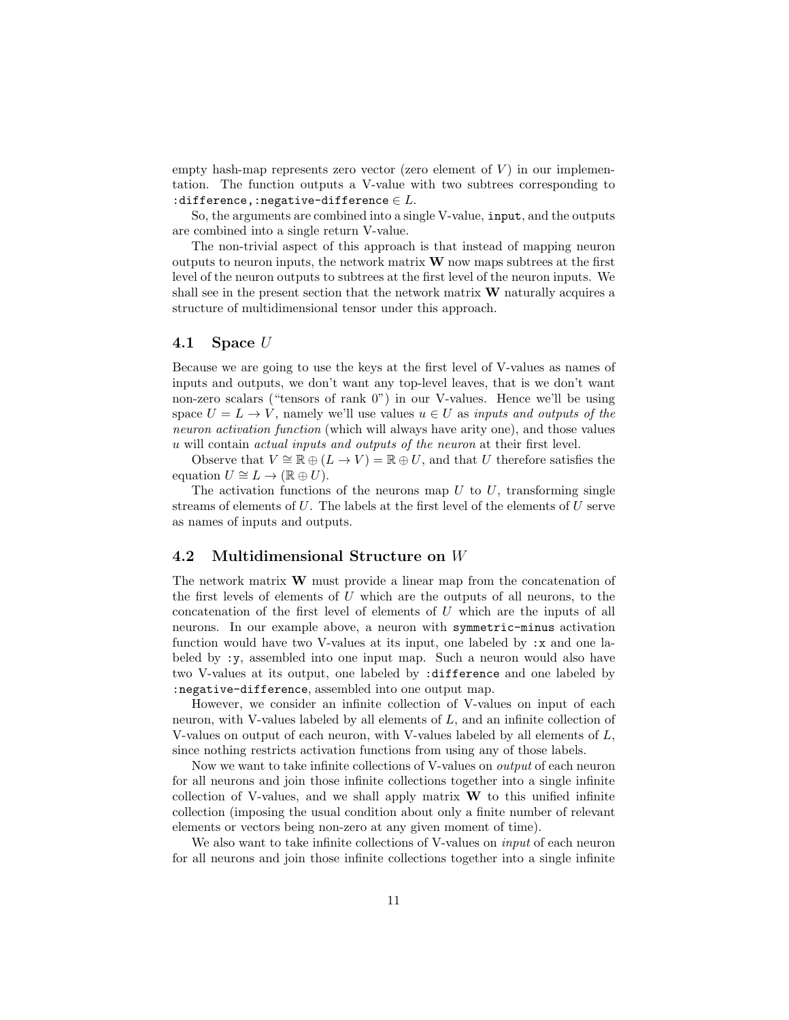empty hash-map represents zero vector (zero element of  $V$ ) in our implementation. The function outputs a V-value with two subtrees corresponding to :difference,:negative-difference  $\in L$ .

So, the arguments are combined into a single V-value, input, and the outputs are combined into a single return V-value.

The non-trivial aspect of this approach is that instead of mapping neuron outputs to neuron inputs, the network matrix  $\bf{W}$  now maps subtrees at the first level of the neuron outputs to subtrees at the first level of the neuron inputs. We shall see in the present section that the network matrix  $\bf{W}$  naturally acquires a structure of multidimensional tensor under this approach.

#### 4.1 Space U

Because we are going to use the keys at the first level of V-values as names of inputs and outputs, we don't want any top-level leaves, that is we don't want non-zero scalars ("tensors of rank 0") in our V-values. Hence we'll be using space  $U = L \rightarrow V$ , namely we'll use values  $u \in U$  as inputs and outputs of the neuron activation function (which will always have arity one), and those values u will contain actual inputs and outputs of the neuron at their first level.

Observe that  $V \cong \mathbb{R} \oplus (L \to V) = \mathbb{R} \oplus U$ , and that U therefore satisfies the equation  $U \cong L \to (\mathbb{R} \oplus U)$ .

The activation functions of the neurons map  $U$  to  $U$ , transforming single streams of elements of  $U$ . The labels at the first level of the elements of  $U$  serve as names of inputs and outputs.

#### 4.2 Multidimensional Structure on W

The network matrix W must provide a linear map from the concatenation of the first levels of elements of  $U$  which are the outputs of all neurons, to the concatenation of the first level of elements of U which are the inputs of all neurons. In our example above, a neuron with symmetric-minus activation function would have two V-values at its input, one labeled by :x and one labeled by :y, assembled into one input map. Such a neuron would also have two V-values at its output, one labeled by :difference and one labeled by :negative-difference, assembled into one output map.

However, we consider an infinite collection of V-values on input of each neuron, with V-values labeled by all elements of L, and an infinite collection of V-values on output of each neuron, with V-values labeled by all elements of  $L$ , since nothing restricts activation functions from using any of those labels.

Now we want to take infinite collections of V-values on output of each neuron for all neurons and join those infinite collections together into a single infinite collection of V-values, and we shall apply matrix  $W$  to this unified infinite collection (imposing the usual condition about only a finite number of relevant elements or vectors being non-zero at any given moment of time).

We also want to take infinite collections of V-values on *input* of each neuron for all neurons and join those infinite collections together into a single infinite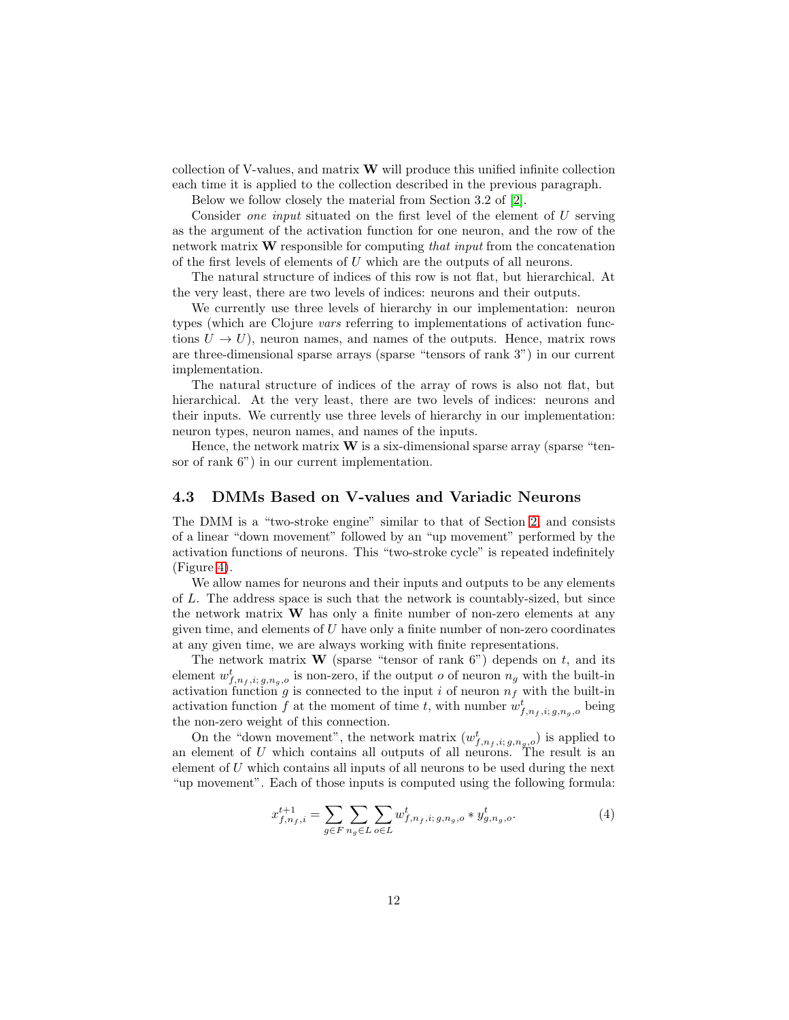collection of V-values, and matrix W will produce this unified infinite collection each time it is applied to the collection described in the previous paragraph.

Below we follow closely the material from Section 3.2 of [\[2\]](#page-25-5).

Consider one input situated on the first level of the element of U serving as the argument of the activation function for one neuron, and the row of the network matrix  $\bf{W}$  responsible for computing that input from the concatenation of the first levels of elements of U which are the outputs of all neurons.

The natural structure of indices of this row is not flat, but hierarchical. At the very least, there are two levels of indices: neurons and their outputs.

We currently use three levels of hierarchy in our implementation: neuron types (which are Clojure vars referring to implementations of activation functions  $U \to U$ ), neuron names, and names of the outputs. Hence, matrix rows are three-dimensional sparse arrays (sparse "tensors of rank 3") in our current implementation.

The natural structure of indices of the array of rows is also not flat, but hierarchical. At the very least, there are two levels of indices: neurons and their inputs. We currently use three levels of hierarchy in our implementation: neuron types, neuron names, and names of the inputs.

Hence, the network matrix  $W$  is a six-dimensional sparse array (sparse "tensor of rank 6") in our current implementation.

## 4.3 DMMs Based on V-values and Variadic Neurons

The DMM is a "two-stroke engine" similar to that of Section [2,](#page-3-0) and consists of a linear "down movement" followed by an "up movement" performed by the activation functions of neurons. This "two-stroke cycle" is repeated indefinitely (Figure [4\)](#page-12-0).

We allow names for neurons and their inputs and outputs to be any elements of L. The address space is such that the network is countably-sized, but since the network matrix W has only a finite number of non-zero elements at any given time, and elements of  $U$  have only a finite number of non-zero coordinates at any given time, we are always working with finite representations.

The network matrix **W** (sparse "tensor of rank  $6$ ") depends on t, and its element  $w_{f,n_f,i;g,n_g,o}^t$  is non-zero, if the output *o* of neuron  $n_g$  with the built-in activation function g is connected to the input i of neuron  $n_f$  with the built-in activation function f at the moment of time t, with number  $w_{f,n_f,i;g,n_g,o}^t$  being the non-zero weight of this connection.

On the "down movement", the network matrix  $(w_{f,n_f,i; g,n_g,o}^t)$  is applied to an element of U which contains all outputs of all neurons. The result is an element of U which contains all inputs of all neurons to be used during the next "up movement". Each of those inputs is computed using the following formula:

<span id="page-11-0"></span>
$$
x_{f,n_f,i}^{t+1} = \sum_{g \in F} \sum_{n_g \in L} \sum_{o \in L} w_{f,n_f,i;g,n_g,o}^t * y_{g,n_g,o}^t.
$$
 (4)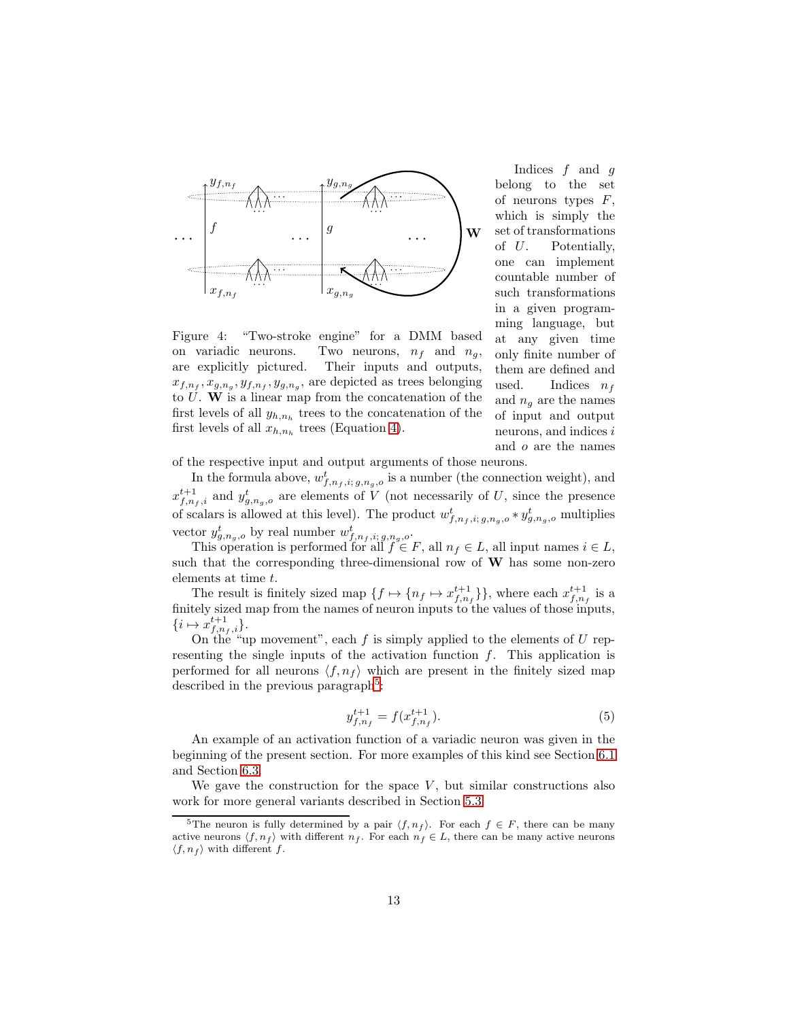

<span id="page-12-0"></span>Figure 4: "Two-stroke engine" for a DMM based on variadic neurons. Two neurons,  $n_f$  and  $n_g$ , are explicitly pictured. Their inputs and outputs,  $x_{f,n_f}, x_{g,n_g}, y_{f,n_f}, y_{g,n_g}$ , are depicted as trees belonging to  $U$ . W is a linear map from the concatenation of the first levels of all  $y_{h,n_h}$  trees to the concatenation of the first levels of all  $x_{h,n_h}$  trees (Equation [4\)](#page-11-0).

Indices  $f$  and  $g$ belong to the set of neurons types  $F$ , which is simply the set of transformations of U. Potentially, one can implement countable number of such transformations in a given programming language, but at any given time only finite number of them are defined and<br>used. Indices  $n_f$ Indices  $n_f$ and  $n_g$  are the names of input and output neurons, and indices i and o are the names

of the respective input and output arguments of those neurons.

In the formula above,  $w_{f,n_f,i;g,n_g,o}^{t}$  is a number (the connection weight), and  $x_{f,n_f,i}^{t+1}$  and  $y_{g,n_g,o}^t$  are elements of V (not necessarily of U, since the presence of scalars is allowed at this level). The product  $w_{f,n_f,i;g,n_g,o}^t * y_{g,n_g,o}^t$  multiplies vector  $y_{g,n_g,o}^t$  by real number  $w_{f,n_f,i;g,n_g,o}^t$ .

This operation is performed for all  $f \in F$ , all  $n_f \in L$ , all input names  $i \in L$ , such that the corresponding three-dimensional row of  $W$  has some non-zero elements at time t.

The result is finitely sized map  $\{f \mapsto \{n_f \mapsto x_{f,n_f}^{t+1}\}\}\,$ , where each  $x_{f,n_f}^{t+1}$  is a finitely sized map from the names of neuron inputs to the values of those inputs,  $\{i \mapsto x_{f,n_f,i}^{t+1}\}.$ 

On the "up movement", each  $f$  is simply applied to the elements of  $U$  representing the single inputs of the activation function  $f$ . This application is performed for all neurons  $\langle f, n_f \rangle$  which are present in the finitely sized map described in the previous paragraph<sup>[5](#page-12-1)</sup>:

$$
y_{f,n_f}^{t+1} = f(x_{f,n_f}^{t+1}).
$$
\n(5)

An example of an activation function of a variadic neuron was given in the beginning of the present section. For more examples of this kind see Section [6.1](#page-15-2) and Section [6.3.](#page-17-0)

We gave the construction for the space  $V$ , but similar constructions also work for more general variants described in Section [5.3.](#page-15-1)

<span id="page-12-1"></span><sup>&</sup>lt;sup>5</sup>The neuron is fully determined by a pair  $\langle f, n_f \rangle$ . For each  $f \in F$ , there can be many active neurons  $\langle f, n_f \rangle$  with different  $n_f$ . For each  $n_f \in L$ , there can be many active neurons  $\langle f, n_f \rangle$  with different f.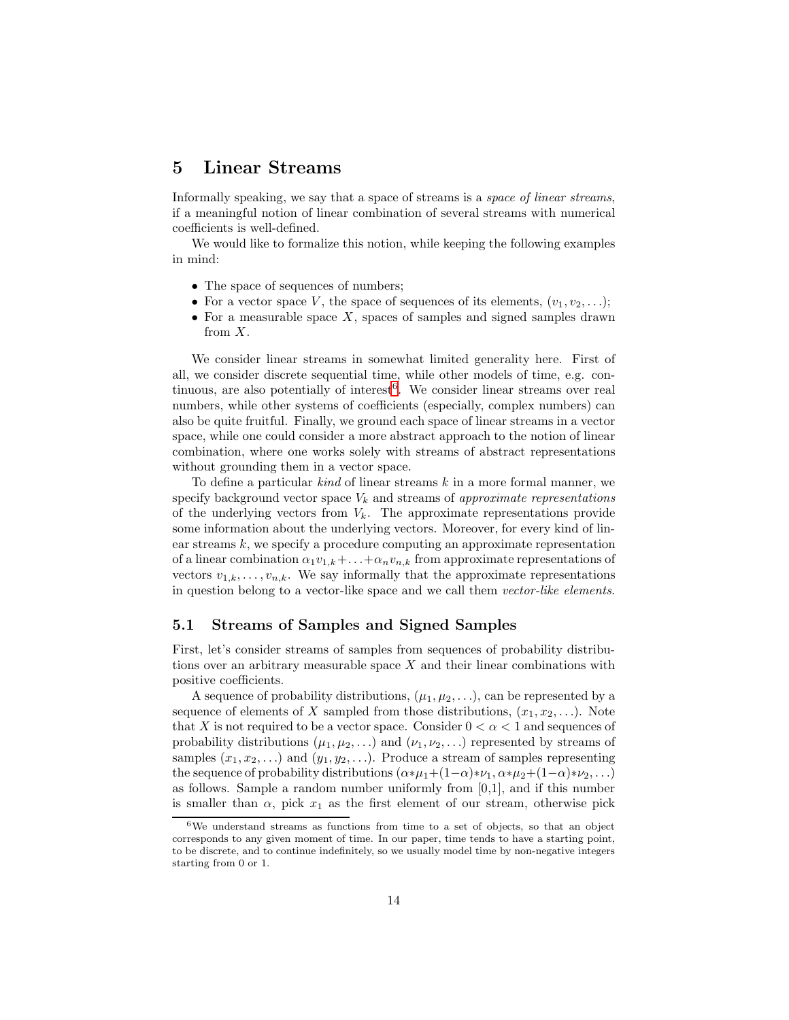## <span id="page-13-0"></span>5 Linear Streams

Informally speaking, we say that a space of streams is a *space of linear streams*, if a meaningful notion of linear combination of several streams with numerical coefficients is well-defined.

We would like to formalize this notion, while keeping the following examples in mind:

- The space of sequences of numbers;
- For a vector space V, the space of sequences of its elements,  $(v_1, v_2, \ldots);$
- For a measurable space  $X$ , spaces of samples and signed samples drawn from X.

We consider linear streams in somewhat limited generality here. First of all, we consider discrete sequential time, while other models of time, e.g. con-tinuous, are also potentially of interest<sup>[6](#page-13-1)</sup>. We consider linear streams over real numbers, while other systems of coefficients (especially, complex numbers) can also be quite fruitful. Finally, we ground each space of linear streams in a vector space, while one could consider a more abstract approach to the notion of linear combination, where one works solely with streams of abstract representations without grounding them in a vector space.

To define a particular  $\text{kind}$  of linear streams  $k$  in a more formal manner, we specify background vector space  $V_k$  and streams of approximate representations of the underlying vectors from  $V_k$ . The approximate representations provide some information about the underlying vectors. Moreover, for every kind of linear streams k, we specify a procedure computing an approximate representation of a linear combination  $\alpha_1v_{1,k}+\ldots+\alpha_nv_{n,k}$  from approximate representations of vectors  $v_{1,k}, \ldots, v_{n,k}$ . We say informally that the approximate representations in question belong to a vector-like space and we call them vector-like elements.

### <span id="page-13-2"></span>5.1 Streams of Samples and Signed Samples

First, let's consider streams of samples from sequences of probability distributions over an arbitrary measurable space  $X$  and their linear combinations with positive coefficients.

A sequence of probability distributions,  $(\mu_1, \mu_2, \ldots)$ , can be represented by a sequence of elements of X sampled from those distributions,  $(x_1, x_2, \ldots)$ . Note that X is not required to be a vector space. Consider  $0 < \alpha < 1$  and sequences of probability distributions  $(\mu_1, \mu_2, \ldots)$  and  $(\nu_1, \nu_2, \ldots)$  represented by streams of samples  $(x_1, x_2, \ldots)$  and  $(y_1, y_2, \ldots)$ . Produce a stream of samples representing the sequence of probability distributions  $(\alpha * \mu_1 + (1-\alpha) * \nu_1, \alpha * \mu_2 + (1-\alpha) * \nu_2, ...)$ as follows. Sample a random number uniformly from [0,1], and if this number is smaller than  $\alpha$ , pick  $x_1$  as the first element of our stream, otherwise pick

<span id="page-13-1"></span> $6$ We understand streams as functions from time to a set of objects, so that an object corresponds to any given moment of time. In our paper, time tends to have a starting point, to be discrete, and to continue indefinitely, so we usually model time by non-negative integers starting from 0 or 1.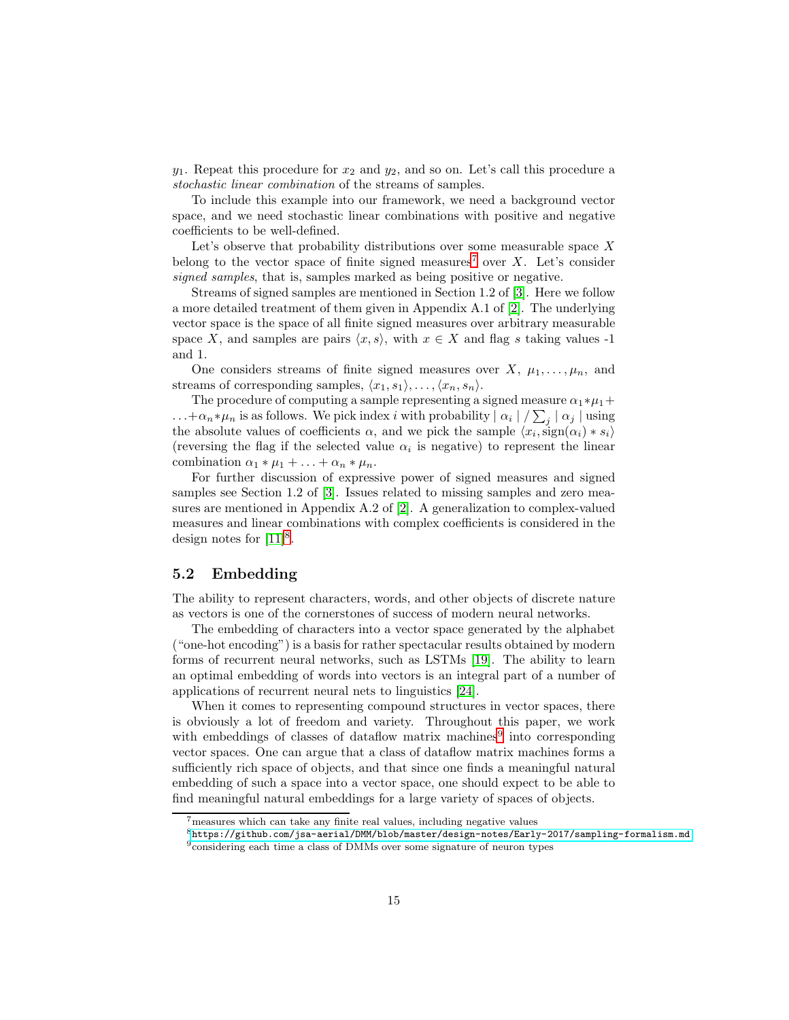$y_1$ . Repeat this procedure for  $x_2$  and  $y_2$ , and so on. Let's call this procedure a stochastic linear combination of the streams of samples.

To include this example into our framework, we need a background vector space, and we need stochastic linear combinations with positive and negative coefficients to be well-defined.

Let's observe that probability distributions over some measurable space  $X$ belong to the vector space of finite signed measures<sup>[7](#page-14-0)</sup> over X. Let's consider signed samples, that is, samples marked as being positive or negative.

Streams of signed samples are mentioned in Section 1.2 of [\[3\]](#page-25-8). Here we follow a more detailed treatment of them given in Appendix A.1 of [\[2\]](#page-25-5). The underlying vector space is the space of all finite signed measures over arbitrary measurable space X, and samples are pairs  $\langle x, s \rangle$ , with  $x \in X$  and flag s taking values -1 and 1.

One considers streams of finite signed measures over X,  $\mu_1, \ldots, \mu_n$ , and streams of corresponding samples,  $\langle x_1, s_1 \rangle, \ldots, \langle x_n, s_n \rangle$ .

The procedure of computing a sample representing a signed measure  $\alpha_1 * \mu_1 +$ ... + $\alpha_n * \mu_n$  is as follows. We pick index i with probability  $| \alpha_i | / \sum_j | \alpha_j |$  using the absolute values of coefficients  $\alpha$ , and we pick the sample  $\langle x_i, \text{sign}(\alpha_i) * s_i \rangle$ (reversing the flag if the selected value  $\alpha_i$  is negative) to represent the linear combination  $\alpha_1 * \mu_1 + \ldots + \alpha_n * \mu_n$ .

For further discussion of expressive power of signed measures and signed samples see Section 1.2 of [\[3\]](#page-25-8). Issues related to missing samples and zero measures are mentioned in Appendix A.2 of [\[2\]](#page-25-5). A generalization to complex-valued measures and linear combinations with complex coefficients is considered in the design notes for  $[11]^8$  $[11]^8$ .

### 5.2 Embedding

The ability to represent characters, words, and other objects of discrete nature as vectors is one of the cornerstones of success of modern neural networks.

The embedding of characters into a vector space generated by the alphabet ("one-hot encoding") is a basis for rather spectacular results obtained by modern forms of recurrent neural networks, such as LSTMs [\[19\]](#page-26-4). The ability to learn an optimal embedding of words into vectors is an integral part of a number of applications of recurrent neural nets to linguistics [\[24\]](#page-26-5).

When it comes to representing compound structures in vector spaces, there is obviously a lot of freedom and variety. Throughout this paper, we work with embeddings of classes of dataflow matrix machines<sup>[9](#page-14-2)</sup> into corresponding vector spaces. One can argue that a class of dataflow matrix machines forms a sufficiently rich space of objects, and that since one finds a meaningful natural embedding of such a space into a vector space, one should expect to be able to find meaningful natural embeddings for a large variety of spaces of objects.

<sup>7</sup>measures which can take any finite real values, including negative values

<span id="page-14-0"></span><sup>8</sup><https://github.com/jsa-aerial/DMM/blob/master/design-notes/Early-2017/sampling-formalism.md> <sup>9</sup>considering each time a class of DMMs over some signature of neuron types

<span id="page-14-2"></span><span id="page-14-1"></span>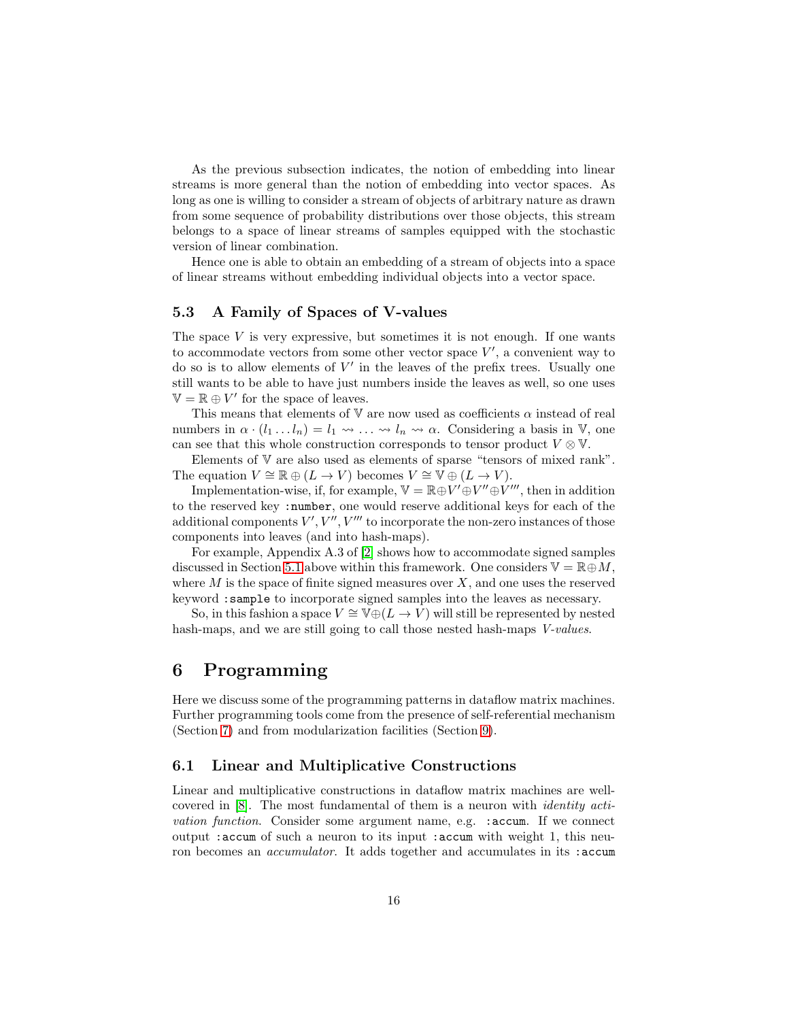As the previous subsection indicates, the notion of embedding into linear streams is more general than the notion of embedding into vector spaces. As long as one is willing to consider a stream of objects of arbitrary nature as drawn from some sequence of probability distributions over those objects, this stream belongs to a space of linear streams of samples equipped with the stochastic version of linear combination.

Hence one is able to obtain an embedding of a stream of objects into a space of linear streams without embedding individual objects into a vector space.

## <span id="page-15-1"></span>5.3 A Family of Spaces of V-values

The space  $V$  is very expressive, but sometimes it is not enough. If one wants to accommodate vectors from some other vector space  $V'$ , a convenient way to do so is to allow elements of  $V'$  in the leaves of the prefix trees. Usually one still wants to be able to have just numbers inside the leaves as well, so one uses  $\mathbb{V} = \mathbb{R} \oplus V'$  for the space of leaves.

This means that elements of V are now used as coefficients  $\alpha$  instead of real numbers in  $\alpha \cdot (l_1 \dots l_n) = l_1 \rightsquigarrow \dots \rightsquigarrow l_n \rightsquigarrow \alpha$ . Considering a basis in V, one can see that this whole construction corresponds to tensor product  $V \otimes V$ .

Elements of V are also used as elements of sparse "tensors of mixed rank". The equation  $V \cong \mathbb{R} \oplus (L \to V)$  becomes  $V \cong \mathbb{V} \oplus (L \to V)$ .

Implementation-wise, if, for example,  $\mathbb{V} = \mathbb{R} \oplus V' \oplus V'' \oplus V'''$ , then in addition to the reserved key :number, one would reserve additional keys for each of the additional components  $V', V'', V'''$  to incorporate the non-zero instances of those components into leaves (and into hash-maps).

For example, Appendix A.3 of [\[2\]](#page-25-5) shows how to accommodate signed samples discussed in Section [5.1](#page-13-2) above within this framework. One considers  $\mathbb{V} = \mathbb{R} \oplus M$ , where  $M$  is the space of finite signed measures over  $X$ , and one uses the reserved keyword :sample to incorporate signed samples into the leaves as necessary.

So, in this fashion a space  $V \cong \mathbb{V} \oplus (L \to V)$  will still be represented by nested hash-maps, and we are still going to call those nested hash-maps *V-values*.

## <span id="page-15-0"></span>6 Programming

Here we discuss some of the programming patterns in dataflow matrix machines. Further programming tools come from the presence of self-referential mechanism (Section [7\)](#page-19-0) and from modularization facilities (Section [9\)](#page-21-0).

#### <span id="page-15-2"></span>6.1 Linear and Multiplicative Constructions

Linear and multiplicative constructions in dataflow matrix machines are wellcovered in [\[8\]](#page-25-3). The most fundamental of them is a neuron with identity activation function. Consider some argument name, e.g. :accum. If we connect output :accum of such a neuron to its input :accum with weight 1, this neuron becomes an *accumulator*. It adds together and accumulates in its :accum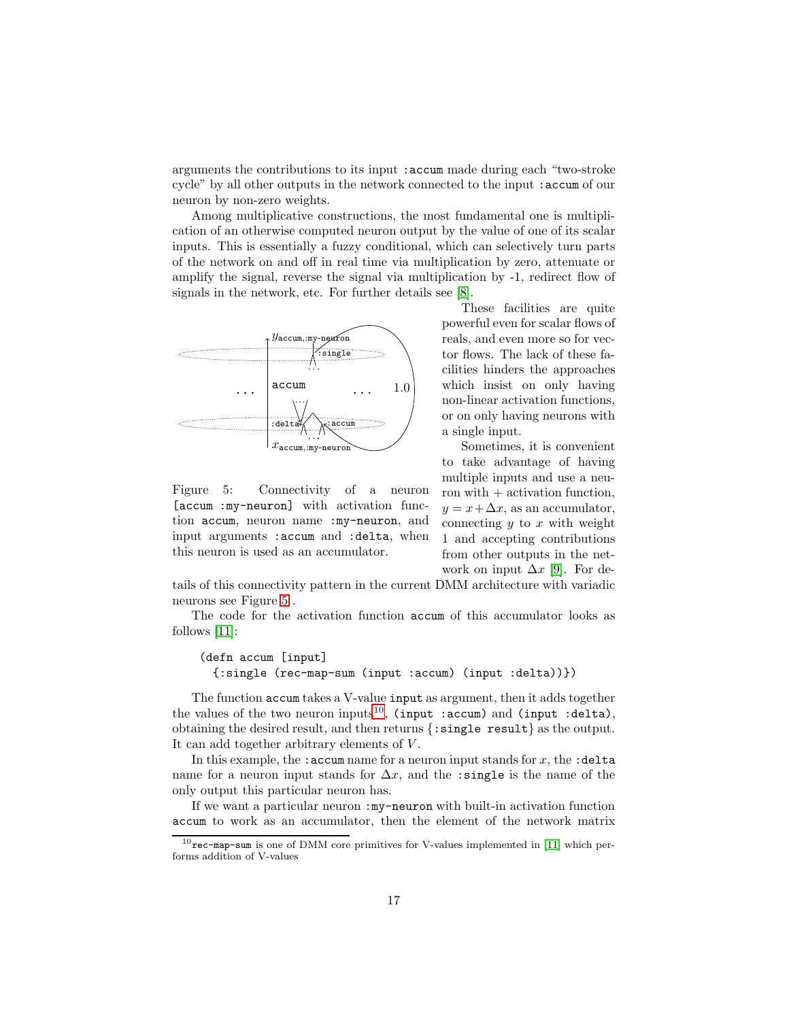arguments the contributions to its input :accum made during each "two-stroke cycle" by all other outputs in the network connected to the input :accum of our neuron by non-zero weights.

Among multiplicative constructions, the most fundamental one is multiplication of an otherwise computed neuron output by the value of one of its scalar inputs. This is essentially a fuzzy conditional, which can selectively turn parts of the network on and off in real time via multiplication by zero, attenuate or amplify the signal, reverse the signal via multiplication by -1, redirect flow of signals in the network, etc. For further details see [\[8\]](#page-25-3).



<span id="page-16-0"></span>Figure 5: Connectivity of a neuron [accum :my-neuron] with activation function accum, neuron name :my-neuron, and input arguments :accum and :delta, when this neuron is used as an accumulator.

These facilities are quite powerful even for scalar flows of reals, and even more so for vector flows. The lack of these facilities hinders the approaches which insist on only having non-linear activation functions, or on only having neurons with a single input.

Sometimes, it is convenient to take advantage of having multiple inputs and use a neuron with  $+$  activation function,  $y = x + \Delta x$ , as an accumulator, connecting  $y$  to  $x$  with weight 1 and accepting contributions from other outputs in the network on input  $\Delta x$  [\[9\]](#page-25-4). For de-

tails of this connectivity pattern in the current DMM architecture with variadic neurons see Figure [5](#page-16-0) .

The code for the activation function accum of this accumulator looks as follows [\[11\]](#page-25-6):

#### (defn accum [input] {:single (rec-map-sum (input :accum) (input :delta))})

The function accum takes a V-value input as argument, then it adds together the values of the two neuron inputs<sup>[10](#page-16-1)</sup>, (input :accum) and (input :delta), obtaining the desired result, and then returns {:single result} as the output. It can add together arbitrary elements of V.

In this example, the : accum name for a neuron input stands for  $x$ , the : delta name for a neuron input stands for  $\Delta x$ , and the :single is the name of the only output this particular neuron has.

If we want a particular neuron :my-neuron with built-in activation function accum to work as an accumulator, then the element of the network matrix

<span id="page-16-1"></span> $10$ rec-map-sum is one of DMM core primitives for V-values implemented in [\[11\]](#page-25-6) which performs addition of V-values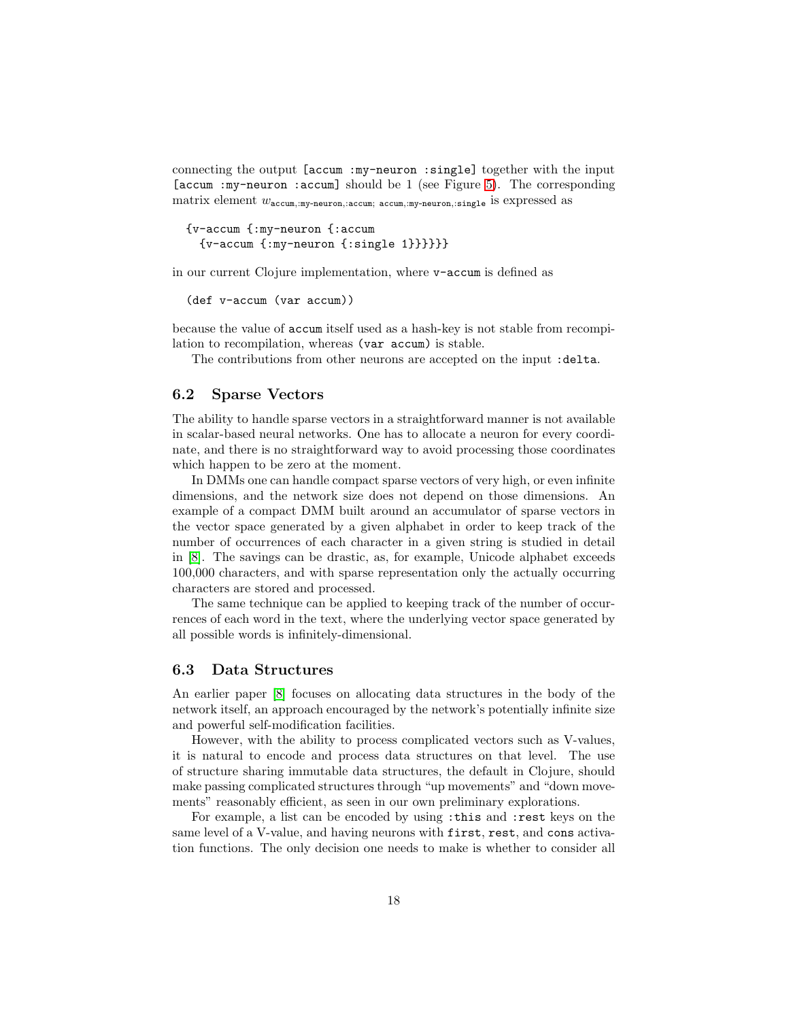connecting the output [accum :my-neuron :single] together with the input [accum :my-neuron :accum] should be 1 (see Figure [5\)](#page-16-0). The corresponding matrix element  $w_{\text{accum},\text{my-neuron},\text{accum},\text{accum},\text{my-neuron},\text{single}}$  is expressed as

```
{v-accum {:my-neuron {:accum
 {v\text{-}accum } {:my-neuron {:single 1}}}}}}
```
in our current Clojure implementation, where v-accum is defined as

```
(def v-accum (var accum))
```
because the value of accum itself used as a hash-key is not stable from recompilation to recompilation, whereas (var accum) is stable.

The contributions from other neurons are accepted on the input : delta.

#### 6.2 Sparse Vectors

The ability to handle sparse vectors in a straightforward manner is not available in scalar-based neural networks. One has to allocate a neuron for every coordinate, and there is no straightforward way to avoid processing those coordinates which happen to be zero at the moment.

In DMMs one can handle compact sparse vectors of very high, or even infinite dimensions, and the network size does not depend on those dimensions. An example of a compact DMM built around an accumulator of sparse vectors in the vector space generated by a given alphabet in order to keep track of the number of occurrences of each character in a given string is studied in detail in [\[8\]](#page-25-3). The savings can be drastic, as, for example, Unicode alphabet exceeds 100,000 characters, and with sparse representation only the actually occurring characters are stored and processed.

The same technique can be applied to keeping track of the number of occurrences of each word in the text, where the underlying vector space generated by all possible words is infinitely-dimensional.

#### <span id="page-17-0"></span>6.3 Data Structures

An earlier paper [\[8\]](#page-25-3) focuses on allocating data structures in the body of the network itself, an approach encouraged by the network's potentially infinite size and powerful self-modification facilities.

However, with the ability to process complicated vectors such as V-values, it is natural to encode and process data structures on that level. The use of structure sharing immutable data structures, the default in Clojure, should make passing complicated structures through "up movements" and "down movements" reasonably efficient, as seen in our own preliminary explorations.

For example, a list can be encoded by using :this and :rest keys on the same level of a V-value, and having neurons with first, rest, and cons activation functions. The only decision one needs to make is whether to consider all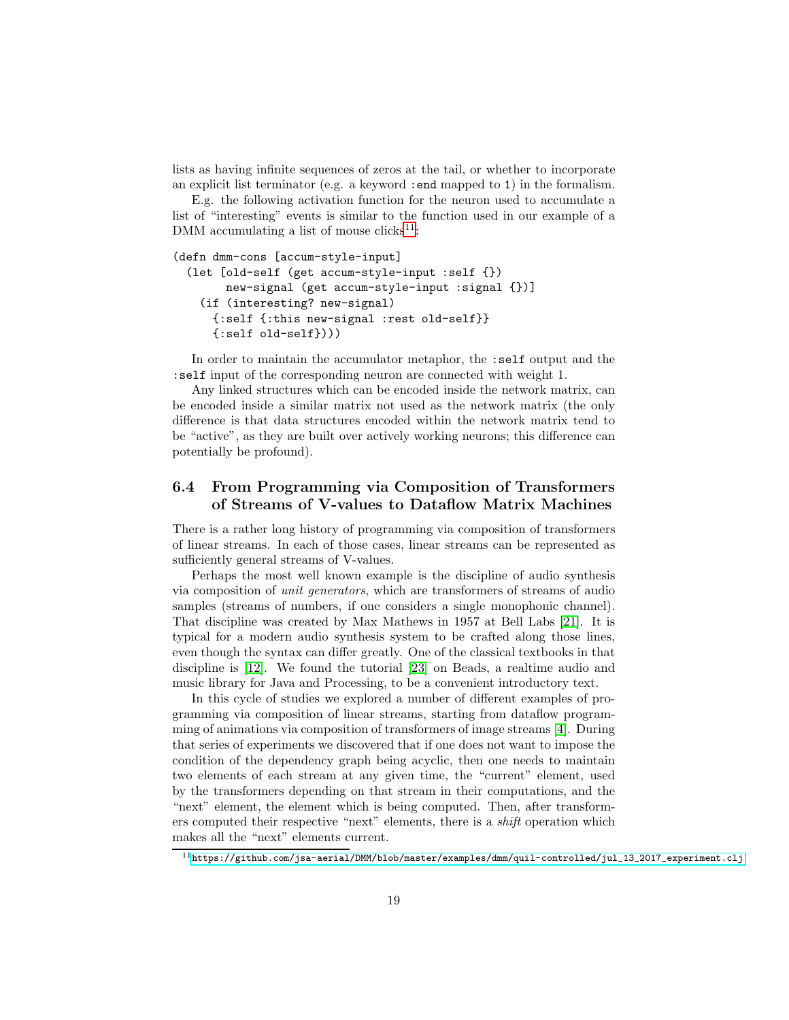lists as having infinite sequences of zeros at the tail, or whether to incorporate an explicit list terminator (e.g. a keyword :end mapped to 1) in the formalism.

E.g. the following activation function for the neuron used to accumulate a list of "interesting" events is similar to the function used in our example of a DMM accumulating a list of mouse  $clicks^{11}$  $clicks^{11}$  $clicks^{11}$ :

```
(defn dmm-cons [accum-style-input]
 (let [old-self (get accum-style-input :self {})
      new-signal (get accum-style-input :signal {})]
   (if (interesting? new-signal)
     {:self {:this new-signal :rest old-self}}
     {:self old-self})))
```
In order to maintain the accumulator metaphor, the :self output and the :self input of the corresponding neuron are connected with weight 1.

Any linked structures which can be encoded inside the network matrix, can be encoded inside a similar matrix not used as the network matrix (the only difference is that data structures encoded within the network matrix tend to be "active", as they are built over actively working neurons; this difference can potentially be profound).

## <span id="page-18-1"></span>6.4 From Programming via Composition of Transformers of Streams of V-values to Dataflow Matrix Machines

There is a rather long history of programming via composition of transformers of linear streams. In each of those cases, linear streams can be represented as sufficiently general streams of V-values.

Perhaps the most well known example is the discipline of audio synthesis via composition of unit generators, which are transformers of streams of audio samples (streams of numbers, if one considers a single monophonic channel). That discipline was created by Max Mathews in 1957 at Bell Labs [\[21\]](#page-26-6). It is typical for a modern audio synthesis system to be crafted along those lines, even though the syntax can differ greatly. One of the classical textbooks in that discipline is [\[12\]](#page-25-9). We found the tutorial [\[23\]](#page-26-7) on Beads, a realtime audio and music library for Java and Processing, to be a convenient introductory text.

In this cycle of studies we explored a number of different examples of programming via composition of linear streams, starting from dataflow programming of animations via composition of transformers of image streams [\[4\]](#page-25-10). During that series of experiments we discovered that if one does not want to impose the condition of the dependency graph being acyclic, then one needs to maintain two elements of each stream at any given time, the "current" element, used by the transformers depending on that stream in their computations, and the "next" element, the element which is being computed. Then, after transformers computed their respective "next" elements, there is a shift operation which makes all the "next" elements current.

<span id="page-18-0"></span> $11$ [https://github.com/jsa-aerial/DMM/blob/master/examples/dmm/quil-controlled/jul\\_13\\_2017\\_experiment.clj](https://github.com/jsa-aerial/DMM/blob/master/examples/dmm/quil-controlled/jul_13_2017_experiment.clj)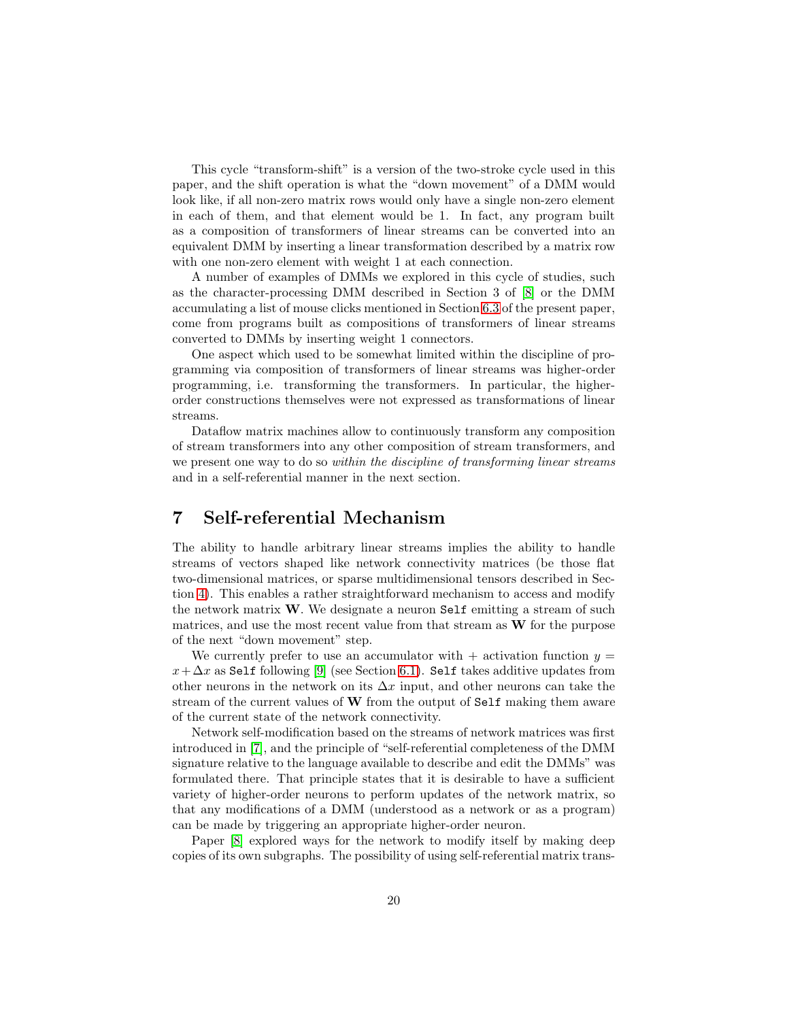This cycle "transform-shift" is a version of the two-stroke cycle used in this paper, and the shift operation is what the "down movement" of a DMM would look like, if all non-zero matrix rows would only have a single non-zero element in each of them, and that element would be 1. In fact, any program built as a composition of transformers of linear streams can be converted into an equivalent DMM by inserting a linear transformation described by a matrix row with one non-zero element with weight 1 at each connection.

A number of examples of DMMs we explored in this cycle of studies, such as the character-processing DMM described in Section 3 of [\[8\]](#page-25-3) or the DMM accumulating a list of mouse clicks mentioned in Section [6.3](#page-17-0) of the present paper, come from programs built as compositions of transformers of linear streams converted to DMMs by inserting weight 1 connectors.

One aspect which used to be somewhat limited within the discipline of programming via composition of transformers of linear streams was higher-order programming, i.e. transforming the transformers. In particular, the higherorder constructions themselves were not expressed as transformations of linear streams.

Dataflow matrix machines allow to continuously transform any composition of stream transformers into any other composition of stream transformers, and we present one way to do so *within the discipline of transforming linear streams* and in a self-referential manner in the next section.

## <span id="page-19-0"></span>7 Self-referential Mechanism

The ability to handle arbitrary linear streams implies the ability to handle streams of vectors shaped like network connectivity matrices (be those flat two-dimensional matrices, or sparse multidimensional tensors described in Section [4\)](#page-9-0). This enables a rather straightforward mechanism to access and modify the network matrix W. We designate a neuron Self emitting a stream of such matrices, and use the most recent value from that stream as  $W$  for the purpose of the next "down movement" step.

We currently prefer to use an accumulator with  $+$  activation function  $y =$  $x + \Delta x$  as Self following [\[9\]](#page-25-4) (see Section [6.1\)](#page-15-2). Self takes additive updates from other neurons in the network on its  $\Delta x$  input, and other neurons can take the stream of the current values of W from the output of Self making them aware of the current state of the network connectivity.

Network self-modification based on the streams of network matrices was first introduced in [\[7\]](#page-25-2), and the principle of "self-referential completeness of the DMM signature relative to the language available to describe and edit the DMMs" was formulated there. That principle states that it is desirable to have a sufficient variety of higher-order neurons to perform updates of the network matrix, so that any modifications of a DMM (understood as a network or as a program) can be made by triggering an appropriate higher-order neuron.

Paper [\[8\]](#page-25-3) explored ways for the network to modify itself by making deep copies of its own subgraphs. The possibility of using self-referential matrix trans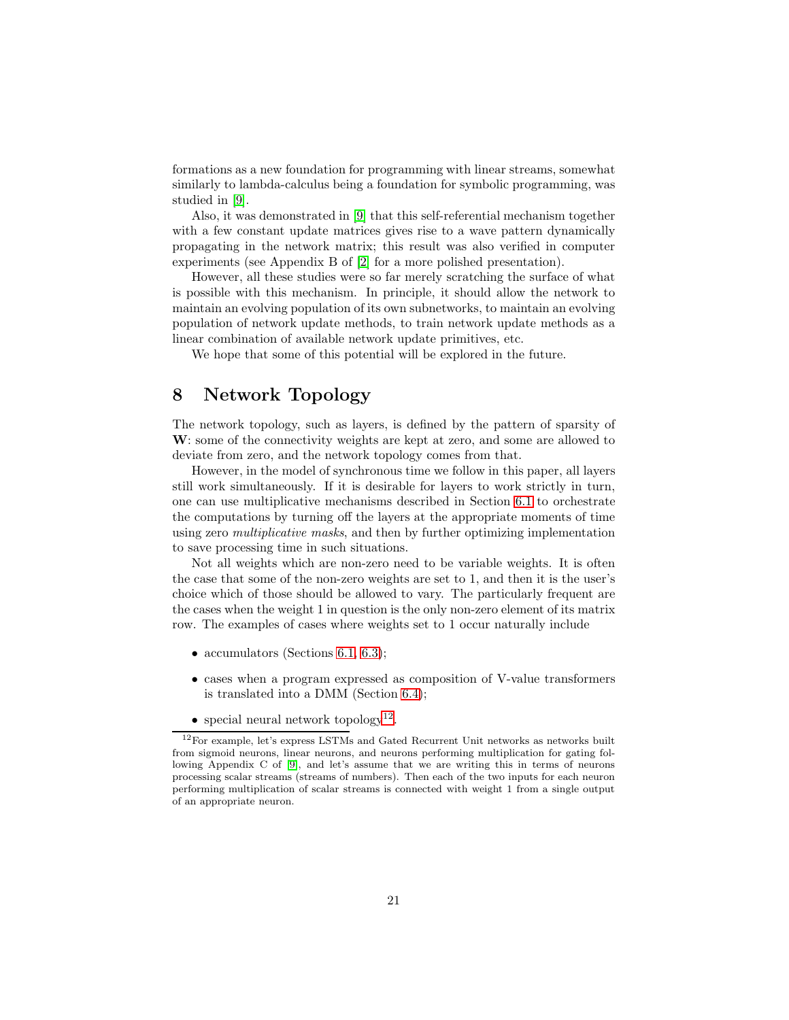formations as a new foundation for programming with linear streams, somewhat similarly to lambda-calculus being a foundation for symbolic programming, was studied in [\[9\]](#page-25-4).

Also, it was demonstrated in [\[9\]](#page-25-4) that this self-referential mechanism together with a few constant update matrices gives rise to a wave pattern dynamically propagating in the network matrix; this result was also verified in computer experiments (see Appendix B of [\[2\]](#page-25-5) for a more polished presentation).

However, all these studies were so far merely scratching the surface of what is possible with this mechanism. In principle, it should allow the network to maintain an evolving population of its own subnetworks, to maintain an evolving population of network update methods, to train network update methods as a linear combination of available network update primitives, etc.

We hope that some of this potential will be explored in the future.

## <span id="page-20-0"></span>8 Network Topology

The network topology, such as layers, is defined by the pattern of sparsity of W: some of the connectivity weights are kept at zero, and some are allowed to deviate from zero, and the network topology comes from that.

However, in the model of synchronous time we follow in this paper, all layers still work simultaneously. If it is desirable for layers to work strictly in turn, one can use multiplicative mechanisms described in Section [6.1](#page-15-2) to orchestrate the computations by turning off the layers at the appropriate moments of time using zero multiplicative masks, and then by further optimizing implementation to save processing time in such situations.

Not all weights which are non-zero need to be variable weights. It is often the case that some of the non-zero weights are set to 1, and then it is the user's choice which of those should be allowed to vary. The particularly frequent are the cases when the weight 1 in question is the only non-zero element of its matrix row. The examples of cases where weights set to 1 occur naturally include

- accumulators (Sections [6.1,](#page-15-2) [6.3\)](#page-17-0);
- cases when a program expressed as composition of V-value transformers is translated into a DMM (Section [6.4\)](#page-18-1);
- special neural network topology<sup>[12](#page-20-1)</sup>.

<span id="page-20-1"></span><sup>12</sup>For example, let's express LSTMs and Gated Recurrent Unit networks as networks built from sigmoid neurons, linear neurons, and neurons performing multiplication for gating following Appendix C of [\[9\]](#page-25-4), and let's assume that we are writing this in terms of neurons processing scalar streams (streams of numbers). Then each of the two inputs for each neuron performing multiplication of scalar streams is connected with weight 1 from a single output of an appropriate neuron.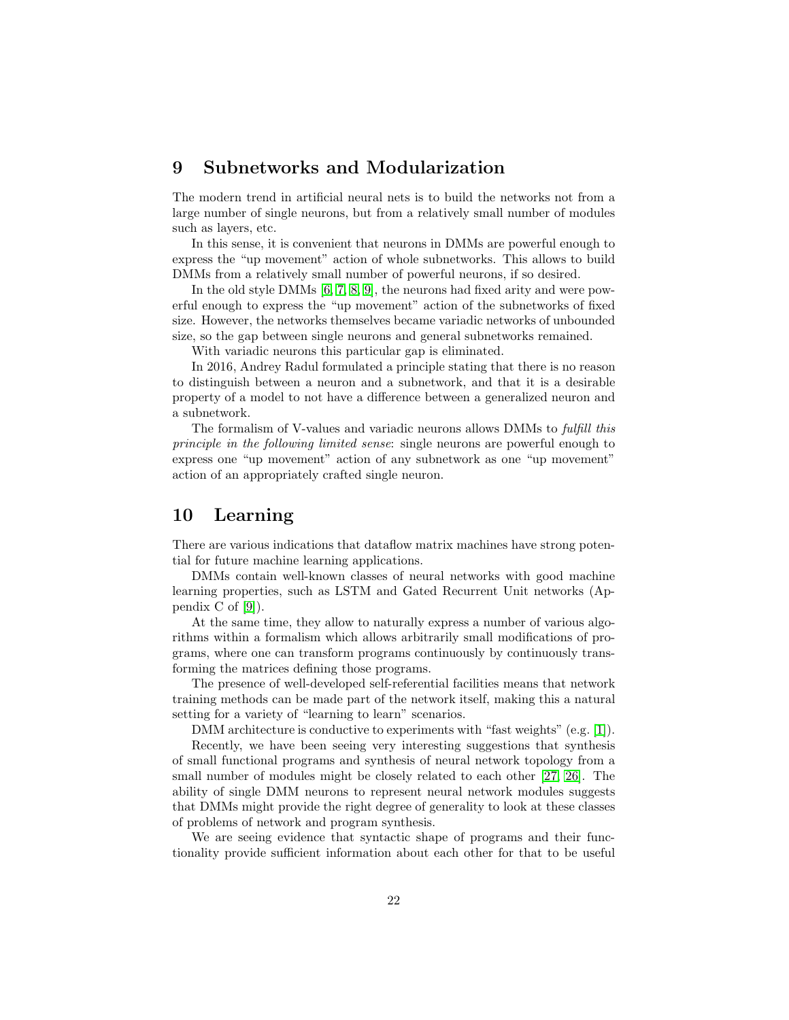## <span id="page-21-0"></span>9 Subnetworks and Modularization

The modern trend in artificial neural nets is to build the networks not from a large number of single neurons, but from a relatively small number of modules such as layers, etc.

In this sense, it is convenient that neurons in DMMs are powerful enough to express the "up movement" action of whole subnetworks. This allows to build DMMs from a relatively small number of powerful neurons, if so desired.

In the old style DMMs [\[6,](#page-25-1) [7,](#page-25-2) [8,](#page-25-3) [9\]](#page-25-4), the neurons had fixed arity and were powerful enough to express the "up movement" action of the subnetworks of fixed size. However, the networks themselves became variadic networks of unbounded size, so the gap between single neurons and general subnetworks remained.

With variadic neurons this particular gap is eliminated.

In 2016, Andrey Radul formulated a principle stating that there is no reason to distinguish between a neuron and a subnetwork, and that it is a desirable property of a model to not have a difference between a generalized neuron and a subnetwork.

The formalism of V-values and variadic neurons allows DMMs to fulfill this principle in the following limited sense: single neurons are powerful enough to express one "up movement" action of any subnetwork as one "up movement" action of an appropriately crafted single neuron.

## <span id="page-21-1"></span>10 Learning

There are various indications that dataflow matrix machines have strong potential for future machine learning applications.

DMMs contain well-known classes of neural networks with good machine learning properties, such as LSTM and Gated Recurrent Unit networks (Appendix C of [\[9\]](#page-25-4)).

At the same time, they allow to naturally express a number of various algorithms within a formalism which allows arbitrarily small modifications of programs, where one can transform programs continuously by continuously transforming the matrices defining those programs.

The presence of well-developed self-referential facilities means that network training methods can be made part of the network itself, making this a natural setting for a variety of "learning to learn" scenarios.

DMM architecture is conductive to experiments with "fast weights" (e.g. [\[1\]](#page-25-11)).

Recently, we have been seeing very interesting suggestions that synthesis of small functional programs and synthesis of neural network topology from a small number of modules might be closely related to each other [\[27,](#page-26-8) [26\]](#page-26-9). The ability of single DMM neurons to represent neural network modules suggests that DMMs might provide the right degree of generality to look at these classes of problems of network and program synthesis.

We are seeing evidence that syntactic shape of programs and their functionality provide sufficient information about each other for that to be useful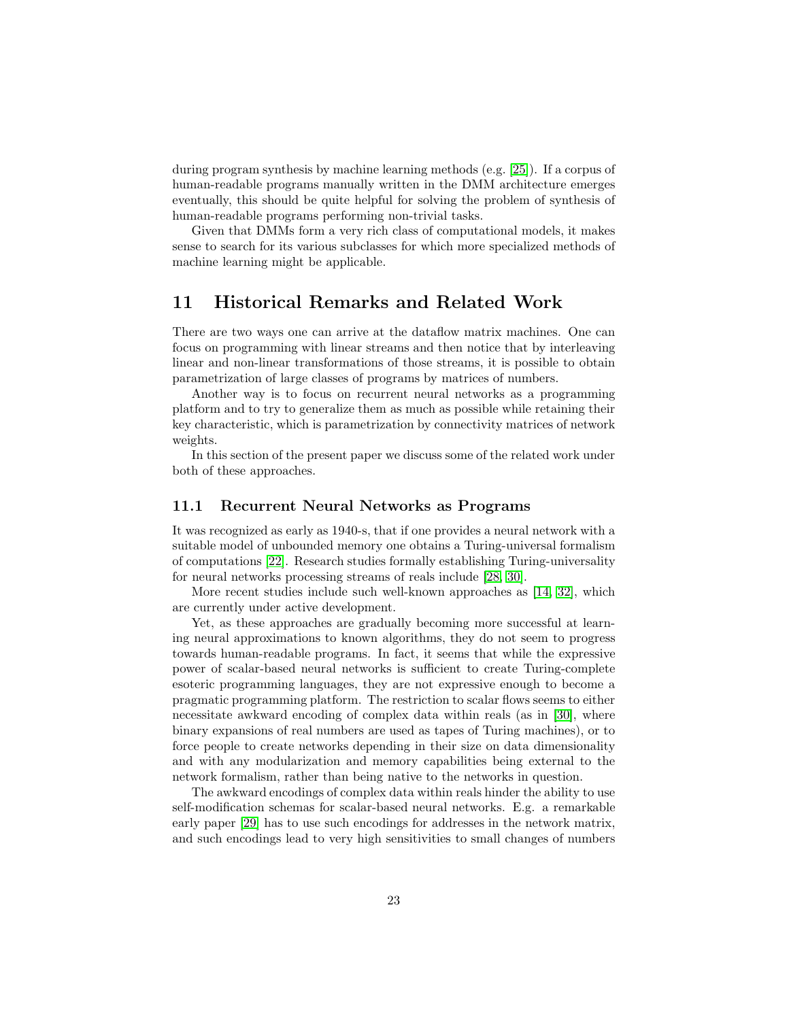during program synthesis by machine learning methods (e.g. [\[25\]](#page-26-10)). If a corpus of human-readable programs manually written in the DMM architecture emerges eventually, this should be quite helpful for solving the problem of synthesis of human-readable programs performing non-trivial tasks.

Given that DMMs form a very rich class of computational models, it makes sense to search for its various subclasses for which more specialized methods of machine learning might be applicable.

## <span id="page-22-0"></span>11 Historical Remarks and Related Work

There are two ways one can arrive at the dataflow matrix machines. One can focus on programming with linear streams and then notice that by interleaving linear and non-linear transformations of those streams, it is possible to obtain parametrization of large classes of programs by matrices of numbers.

Another way is to focus on recurrent neural networks as a programming platform and to try to generalize them as much as possible while retaining their key characteristic, which is parametrization by connectivity matrices of network weights.

In this section of the present paper we discuss some of the related work under both of these approaches.

#### 11.1 Recurrent Neural Networks as Programs

It was recognized as early as 1940-s, that if one provides a neural network with a suitable model of unbounded memory one obtains a Turing-universal formalism of computations [\[22\]](#page-26-1). Research studies formally establishing Turing-universality for neural networks processing streams of reals include [\[28,](#page-26-2) [30\]](#page-26-3).

More recent studies include such well-known approaches as [\[14,](#page-25-12) [32\]](#page-27-0), which are currently under active development.

Yet, as these approaches are gradually becoming more successful at learning neural approximations to known algorithms, they do not seem to progress towards human-readable programs. In fact, it seems that while the expressive power of scalar-based neural networks is sufficient to create Turing-complete esoteric programming languages, they are not expressive enough to become a pragmatic programming platform. The restriction to scalar flows seems to either necessitate awkward encoding of complex data within reals (as in [\[30\]](#page-26-3), where binary expansions of real numbers are used as tapes of Turing machines), or to force people to create networks depending in their size on data dimensionality and with any modularization and memory capabilities being external to the network formalism, rather than being native to the networks in question.

The awkward encodings of complex data within reals hinder the ability to use self-modification schemas for scalar-based neural networks. E.g. a remarkable early paper [\[29\]](#page-26-11) has to use such encodings for addresses in the network matrix, and such encodings lead to very high sensitivities to small changes of numbers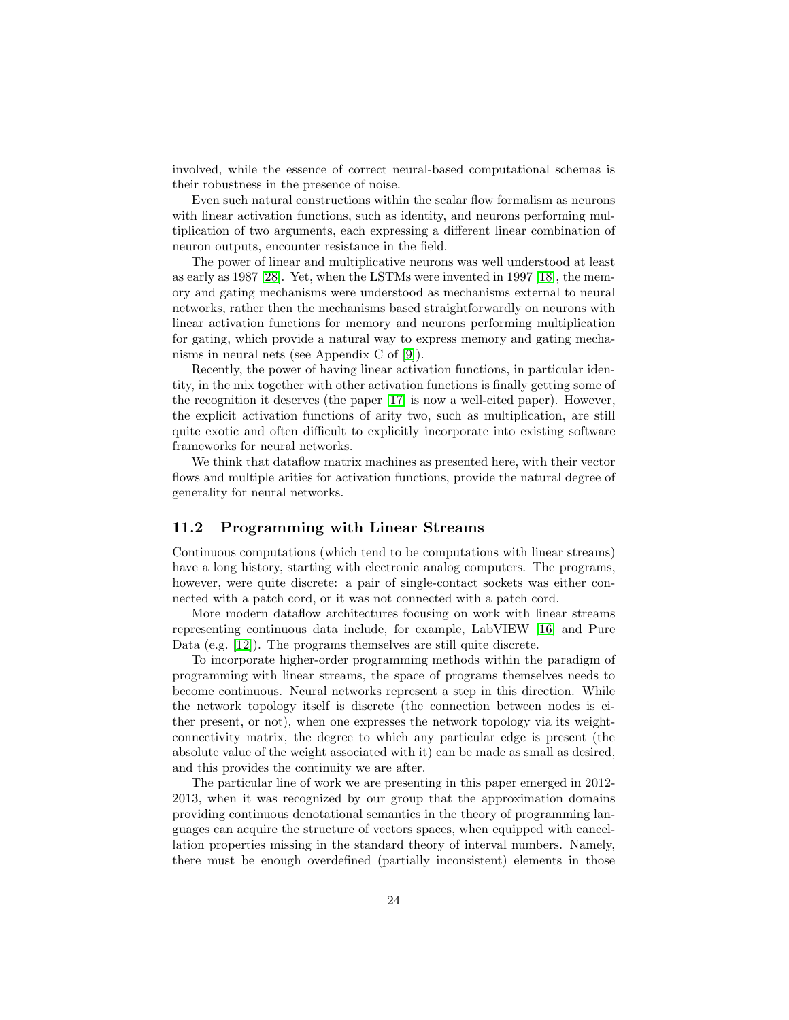involved, while the essence of correct neural-based computational schemas is their robustness in the presence of noise.

Even such natural constructions within the scalar flow formalism as neurons with linear activation functions, such as identity, and neurons performing multiplication of two arguments, each expressing a different linear combination of neuron outputs, encounter resistance in the field.

The power of linear and multiplicative neurons was well understood at least as early as 1987 [\[28\]](#page-26-2). Yet, when the LSTMs were invented in 1997 [\[18\]](#page-26-12), the memory and gating mechanisms were understood as mechanisms external to neural networks, rather then the mechanisms based straightforwardly on neurons with linear activation functions for memory and neurons performing multiplication for gating, which provide a natural way to express memory and gating mechanisms in neural nets (see Appendix C of [\[9\]](#page-25-4)).

Recently, the power of having linear activation functions, in particular identity, in the mix together with other activation functions is finally getting some of the recognition it deserves (the paper [\[17\]](#page-26-13) is now a well-cited paper). However, the explicit activation functions of arity two, such as multiplication, are still quite exotic and often difficult to explicitly incorporate into existing software frameworks for neural networks.

We think that dataflow matrix machines as presented here, with their vector flows and multiple arities for activation functions, provide the natural degree of generality for neural networks.

### 11.2 Programming with Linear Streams

Continuous computations (which tend to be computations with linear streams) have a long history, starting with electronic analog computers. The programs, however, were quite discrete: a pair of single-contact sockets was either connected with a patch cord, or it was not connected with a patch cord.

More modern dataflow architectures focusing on work with linear streams representing continuous data include, for example, LabVIEW [\[16\]](#page-26-14) and Pure Data (e.g. [\[12\]](#page-25-9)). The programs themselves are still quite discrete.

To incorporate higher-order programming methods within the paradigm of programming with linear streams, the space of programs themselves needs to become continuous. Neural networks represent a step in this direction. While the network topology itself is discrete (the connection between nodes is either present, or not), when one expresses the network topology via its weightconnectivity matrix, the degree to which any particular edge is present (the absolute value of the weight associated with it) can be made as small as desired, and this provides the continuity we are after.

The particular line of work we are presenting in this paper emerged in 2012- 2013, when it was recognized by our group that the approximation domains providing continuous denotational semantics in the theory of programming languages can acquire the structure of vectors spaces, when equipped with cancellation properties missing in the standard theory of interval numbers. Namely, there must be enough overdefined (partially inconsistent) elements in those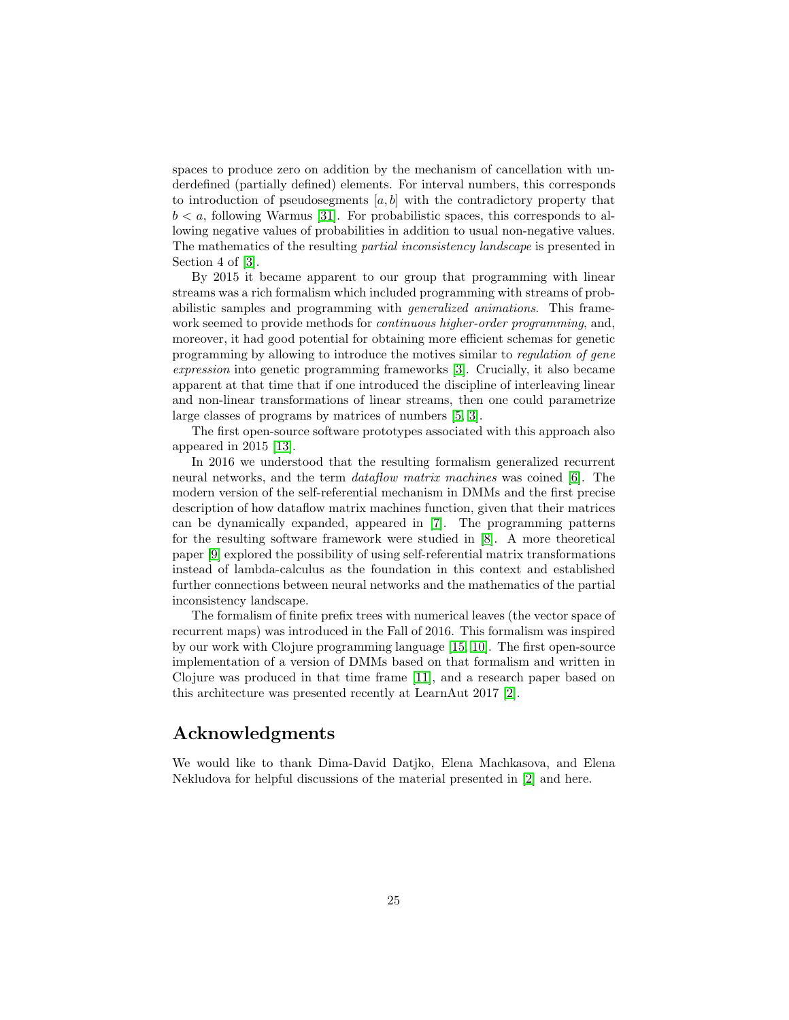spaces to produce zero on addition by the mechanism of cancellation with underdefined (partially defined) elements. For interval numbers, this corresponds to introduction of pseudosegments  $[a, b]$  with the contradictory property that  $b < a$ , following Warmus [\[31\]](#page-27-1). For probabilistic spaces, this corresponds to allowing negative values of probabilities in addition to usual non-negative values. The mathematics of the resulting partial inconsistency landscape is presented in Section 4 of [\[3\]](#page-25-8).

By 2015 it became apparent to our group that programming with linear streams was a rich formalism which included programming with streams of probabilistic samples and programming with generalized animations. This framework seemed to provide methods for continuous higher-order programming, and, moreover, it had good potential for obtaining more efficient schemas for genetic programming by allowing to introduce the motives similar to regulation of gene expression into genetic programming frameworks [\[3\]](#page-25-8). Crucially, it also became apparent at that time that if one introduced the discipline of interleaving linear and non-linear transformations of linear streams, then one could parametrize large classes of programs by matrices of numbers [\[5,](#page-25-0) [3\]](#page-25-8).

The first open-source software prototypes associated with this approach also appeared in 2015 [\[13\]](#page-25-13).

In 2016 we understood that the resulting formalism generalized recurrent neural networks, and the term dataflow matrix machines was coined [\[6\]](#page-25-1). The modern version of the self-referential mechanism in DMMs and the first precise description of how dataflow matrix machines function, given that their matrices can be dynamically expanded, appeared in [\[7\]](#page-25-2). The programming patterns for the resulting software framework were studied in [\[8\]](#page-25-3). A more theoretical paper [\[9\]](#page-25-4) explored the possibility of using self-referential matrix transformations instead of lambda-calculus as the foundation in this context and established further connections between neural networks and the mathematics of the partial inconsistency landscape.

The formalism of finite prefix trees with numerical leaves (the vector space of recurrent maps) was introduced in the Fall of 2016. This formalism was inspired by our work with Clojure programming language [\[15,](#page-26-15) [10\]](#page-25-7). The first open-source implementation of a version of DMMs based on that formalism and written in Clojure was produced in that time frame [\[11\]](#page-25-6), and a research paper based on this architecture was presented recently at LearnAut 2017 [\[2\]](#page-25-5).

## Acknowledgments

We would like to thank Dima-David Datjko, Elena Machkasova, and Elena Nekludova for helpful discussions of the material presented in [\[2\]](#page-25-5) and here.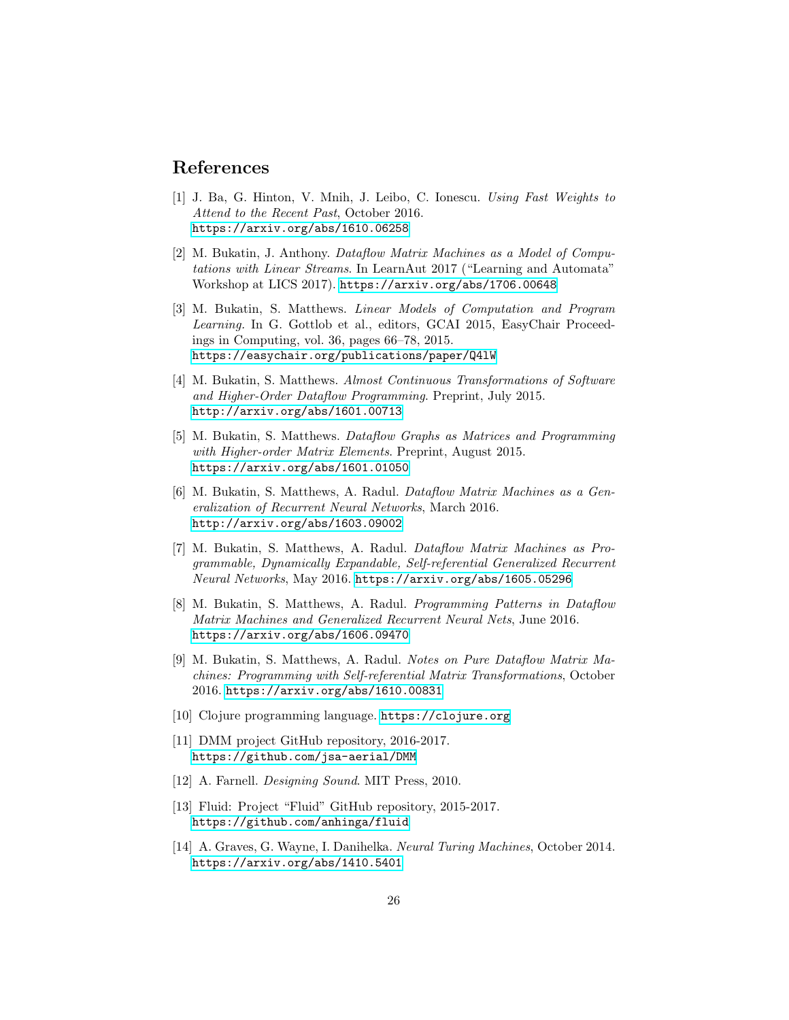## <span id="page-25-11"></span>References

- [1] J. Ba, G. Hinton, V. Mnih, J. Leibo, C. Ionescu. Using Fast Weights to Attend to the Recent Past, October 2016. <https://arxiv.org/abs/1610.06258>
- <span id="page-25-5"></span>[2] M. Bukatin, J. Anthony. Dataflow Matrix Machines as a Model of Computations with Linear Streams. In LearnAut 2017 ("Learning and Automata" Workshop at LICS 2017). <https://arxiv.org/abs/1706.00648>
- <span id="page-25-8"></span>[3] M. Bukatin, S. Matthews. Linear Models of Computation and Program Learning. In G. Gottlob et al., editors, GCAI 2015, EasyChair Proceedings in Computing, vol. 36, pages 66–78, 2015. <https://easychair.org/publications/paper/Q4lW>
- <span id="page-25-10"></span>[4] M. Bukatin, S. Matthews. Almost Continuous Transformations of Software and Higher-Order Dataflow Programming. Preprint, July 2015. <http://arxiv.org/abs/1601.00713>
- <span id="page-25-0"></span>[5] M. Bukatin, S. Matthews. Dataflow Graphs as Matrices and Programming with Higher-order Matrix Elements. Preprint, August 2015. <https://arxiv.org/abs/1601.01050>
- <span id="page-25-1"></span>[6] M. Bukatin, S. Matthews, A. Radul. Dataflow Matrix Machines as a Generalization of Recurrent Neural Networks, March 2016. <http://arxiv.org/abs/1603.09002>
- <span id="page-25-2"></span>[7] M. Bukatin, S. Matthews, A. Radul. Dataflow Matrix Machines as Programmable, Dynamically Expandable, Self-referential Generalized Recurrent Neural Networks, May 2016. <https://arxiv.org/abs/1605.05296>
- <span id="page-25-3"></span>[8] M. Bukatin, S. Matthews, A. Radul. Programming Patterns in Dataflow Matrix Machines and Generalized Recurrent Neural Nets, June 2016. <https://arxiv.org/abs/1606.09470>
- <span id="page-25-4"></span>[9] M. Bukatin, S. Matthews, A. Radul. Notes on Pure Dataflow Matrix Machines: Programming with Self-referential Matrix Transformations, October 2016. <https://arxiv.org/abs/1610.00831>
- <span id="page-25-7"></span><span id="page-25-6"></span>[10] Clojure programming language. <https://clojure.org>
- [11] DMM project GitHub repository, 2016-2017. <https://github.com/jsa-aerial/DMM>
- <span id="page-25-13"></span><span id="page-25-9"></span>[12] A. Farnell. Designing Sound. MIT Press, 2010.
- [13] Fluid: Project "Fluid" GitHub repository, 2015-2017. <https://github.com/anhinga/fluid>
- <span id="page-25-12"></span>[14] A. Graves, G. Wayne, I. Danihelka. Neural Turing Machines, October 2014. <https://arxiv.org/abs/1410.5401>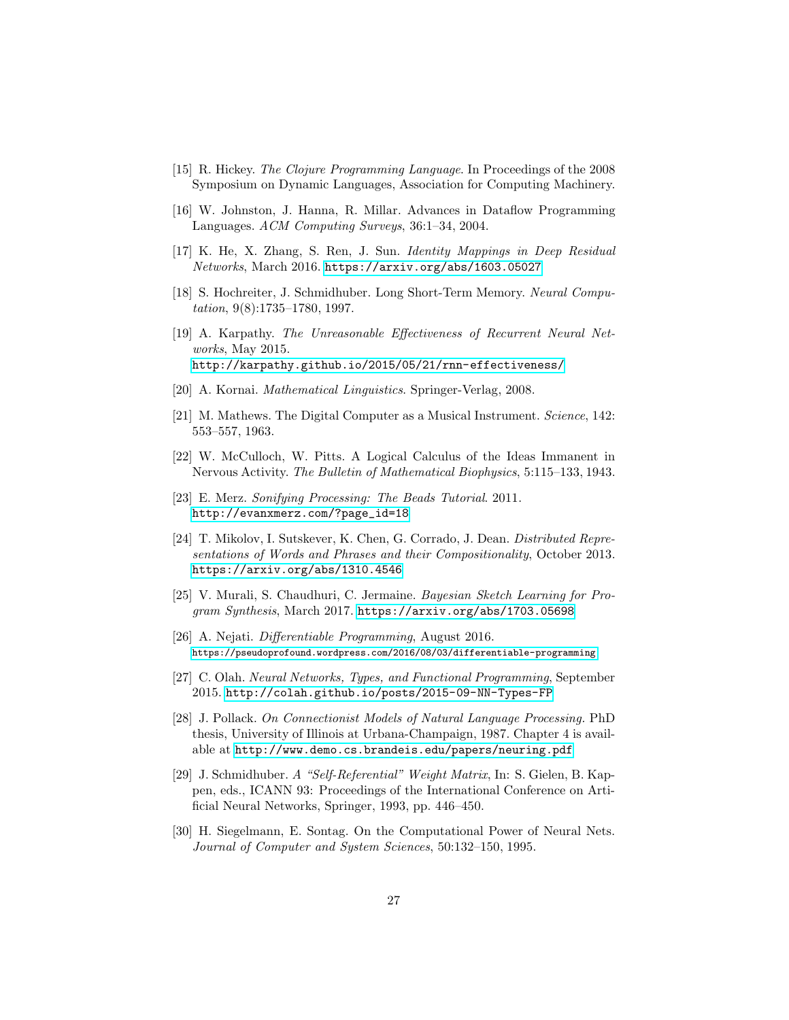- <span id="page-26-15"></span><span id="page-26-14"></span>[15] R. Hickey. The Clojure Programming Language. In Proceedings of the 2008 Symposium on Dynamic Languages, Association for Computing Machinery.
- <span id="page-26-13"></span>[16] W. Johnston, J. Hanna, R. Millar. Advances in Dataflow Programming Languages. ACM Computing Surveys, 36:1–34, 2004.
- <span id="page-26-12"></span>[17] K. He, X. Zhang, S. Ren, J. Sun. Identity Mappings in Deep Residual Networks, March 2016. <https://arxiv.org/abs/1603.05027>
- [18] S. Hochreiter, J. Schmidhuber. Long Short-Term Memory. Neural Computation, 9(8):1735–1780, 1997.
- <span id="page-26-4"></span>[19] A. Karpathy. The Unreasonable Effectiveness of Recurrent Neural Networks, May 2015. <http://karpathy.github.io/2015/05/21/rnn-effectiveness/>
- <span id="page-26-6"></span><span id="page-26-0"></span>[20] A. Kornai. *Mathematical Linguistics*. Springer-Verlag, 2008.
- [21] M. Mathews. The Digital Computer as a Musical Instrument. Science, 142: 553–557, 1963.
- <span id="page-26-7"></span><span id="page-26-1"></span>[22] W. McCulloch, W. Pitts. A Logical Calculus of the Ideas Immanent in Nervous Activity. The Bulletin of Mathematical Biophysics, 5:115–133, 1943.
- [23] E. Merz. Sonifying Processing: The Beads Tutorial. 2011. [http://evanxmerz.com/?page\\_id=18](http://evanxmerz.com/?page_id=18)
- <span id="page-26-5"></span>[24] T. Mikolov, I. Sutskever, K. Chen, G. Corrado, J. Dean. Distributed Representations of Words and Phrases and their Compositionality, October 2013. <https://arxiv.org/abs/1310.4546>
- <span id="page-26-10"></span>[25] V. Murali, S. Chaudhuri, C. Jermaine. Bayesian Sketch Learning for Program Synthesis, March 2017. <https://arxiv.org/abs/1703.05698>
- <span id="page-26-9"></span>[26] A. Nejati. Differentiable Programming, August 2016. <https://pseudoprofound.wordpress.com/2016/08/03/differentiable-programming>
- <span id="page-26-8"></span>[27] C. Olah. Neural Networks, Types, and Functional Programming, September 2015. <http://colah.github.io/posts/2015-09-NN-Types-FP>
- <span id="page-26-2"></span>[28] J. Pollack. On Connectionist Models of Natural Language Processing. PhD thesis, University of Illinois at Urbana-Champaign, 1987. Chapter 4 is available at <http://www.demo.cs.brandeis.edu/papers/neuring.pdf>
- <span id="page-26-11"></span>[29] J. Schmidhuber. A "Self-Referential" Weight Matrix, In: S. Gielen, B. Kappen, eds., ICANN 93: Proceedings of the International Conference on Artificial Neural Networks, Springer, 1993, pp. 446–450.
- <span id="page-26-3"></span>[30] H. Siegelmann, E. Sontag. On the Computational Power of Neural Nets. Journal of Computer and System Sciences, 50:132–150, 1995.